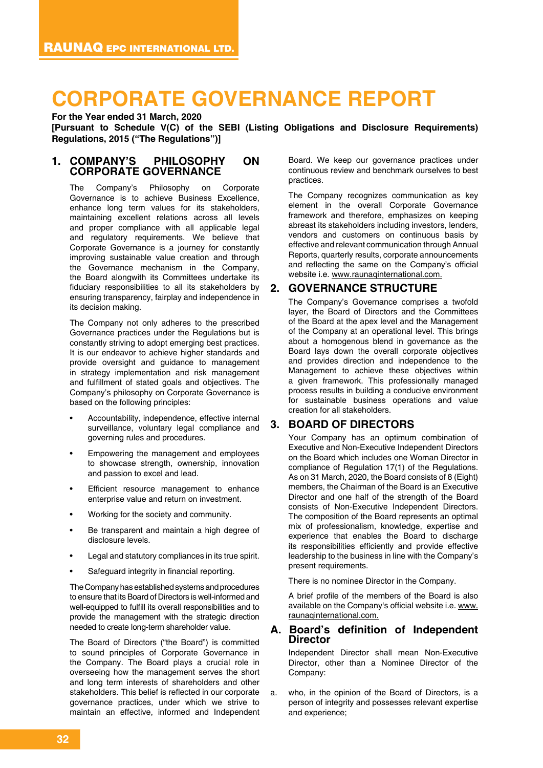# **CORPORATE GOVERNANCE REPORT**

**For the Year ended 31 March, 2020**

**[Pursuant to Schedule V(C) of the SEBI (Listing Obligations and Disclosure Requirements) Regulations, 2015 ("The Regulations")]**

# **1. COMPANY'S PHILOSOPHY ON CORPORATE GOVERNANCE**

The Company's Philosophy on Corporate Governance is to achieve Business Excellence, enhance long term values for its stakeholders, maintaining excellent relations across all levels and proper compliance with all applicable legal and regulatory requirements. We believe that Corporate Governance is a journey for constantly improving sustainable value creation and through the Governance mechanism in the Company, the Board alongwith its Committees undertake its fiduciary responsibilities to all its stakeholders by ensuring transparency, fairplay and independence in its decision making.

The Company not only adheres to the prescribed Governance practices under the Regulations but is constantly striving to adopt emerging best practices. It is our endeavor to achieve higher standards and provide oversight and guidance to management in strategy implementation and risk management and fulfillment of stated goals and objectives. The Company's philosophy on Corporate Governance is based on the following principles:

- Accountability, independence, effective internal surveillance, voluntary legal compliance and governing rules and procedures.
- Empowering the management and employees to showcase strength, ownership, innovation and passion to excel and lead.
- Efficient resource management to enhance enterprise value and return on investment.
- Working for the society and community.
- Be transparent and maintain a high degree of disclosure levels.
- Legal and statutory compliances in its true spirit.
- Safeguard integrity in financial reporting.

The Company has established systems and procedures to ensure that its Board of Directors is well-informed and well-equipped to fulfill its overall responsibilities and to provide the management with the strategic direction needed to create long-term shareholder value.

The Board of Directors ("the Board") is committed to sound principles of Corporate Governance in the Company. The Board plays a crucial role in overseeing how the management serves the short and long term interests of shareholders and other stakeholders. This belief is reflected in our corporate governance practices, under which we strive to maintain an effective, informed and Independent

Board. We keep our governance practices under continuous review and benchmark ourselves to best practices.

The Company recognizes communication as key element in the overall Corporate Governance framework and therefore, emphasizes on keeping abreast its stakeholders including investors, lenders, vendors and customers on continuous basis by effective and relevant communication through Annual Reports, quarterly results, corporate announcements and reflecting the same on the Company's official website i.e. www.raunaqinternational.com.

## **2. GOVERNANCE STRUCTURE**

The Company's Governance comprises a twofold layer, the Board of Directors and the Committees of the Board at the apex level and the Management of the Company at an operational level. This brings about a homogenous blend in governance as the Board lays down the overall corporate objectives and provides direction and independence to the Management to achieve these objectives within a given framework. This professionally managed process results in building a conducive environment for sustainable business operations and value creation for all stakeholders.

# **3. BOARD OF DIRECTORS**

Your Company has an optimum combination of Executive and Non-Executive Independent Directors on the Board which includes one Woman Director in compliance of Regulation 17(1) of the Regulations. As on 31 March, 2020, the Board consists of 8 (Eight) members, the Chairman of the Board is an Executive Director and one half of the strength of the Board consists of Non-Executive Independent Directors. The composition of the Board represents an optimal mix of professionalism, knowledge, expertise and experience that enables the Board to discharge its responsibilities efficiently and provide effective leadership to the business in line with the Company's present requirements.

There is no nominee Director in the Company.

A brief profile of the members of the Board is also available on the Company's official website i.e. www. raunaqinternational.com.

# **A. Board's definition of Independent Director**

Independent Director shall mean Non-Executive Director, other than a Nominee Director of the Company:

a. who, in the opinion of the Board of Directors, is a person of integrity and possesses relevant expertise and experience;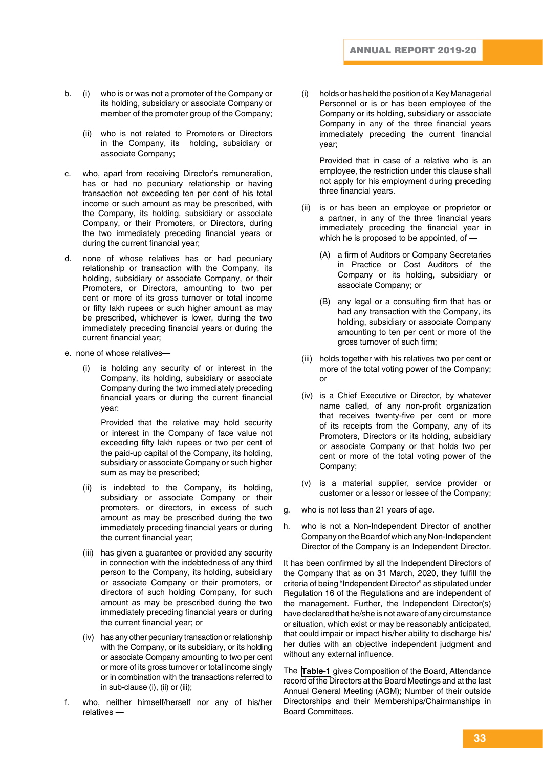- b. (i) who is or was not a promoter of the Company or its holding, subsidiary or associate Company or member of the promoter group of the Company;
	- (ii) who is not related to Promoters or Directors in the Company, its holding, subsidiary or associate Company;
- c. who, apart from receiving Director's remuneration, has or had no pecuniary relationship or having transaction not exceeding ten per cent of his total income or such amount as may be prescribed, with the Company, its holding, subsidiary or associate Company, or their Promoters, or Directors, during the two immediately preceding financial years or during the current financial year;
- d. none of whose relatives has or had pecuniary relationship or transaction with the Company, its holding, subsidiary or associate Company, or their Promoters, or Directors, amounting to two per cent or more of its gross turnover or total income or fifty lakh rupees or such higher amount as may be prescribed, whichever is lower, during the two immediately preceding financial years or during the current financial year;
- e. none of whose relatives—
	- (i) is holding any security of or interest in the Company, its holding, subsidiary or associate Company during the two immediately preceding financial years or during the current financial year:

 Provided that the relative may hold security or interest in the Company of face value not exceeding fifty lakh rupees or two per cent of the paid-up capital of the Company, its holding, subsidiary or associate Company or such higher sum as may be prescribed;

- (ii) is indebted to the Company, its holding, subsidiary or associate Company or their promoters, or directors, in excess of such amount as may be prescribed during the two immediately preceding financial years or during the current financial year;
- (iii) has given a guarantee or provided any security in connection with the indebtedness of any third person to the Company, its holding, subsidiary or associate Company or their promoters, or directors of such holding Company, for such amount as may be prescribed during the two immediately preceding financial years or during the current financial year; or
- (iv) has any other pecuniary transaction or relationship with the Company, or its subsidiary, or its holding or associate Company amounting to two per cent or more of its gross turnover or total income singly or in combination with the transactions referred to in sub-clause (i), (ii) or (iii);
- f. who, neither himself/herself nor any of his/her relatives —

(i) holds or has held the position of a Key Managerial Personnel or is or has been employee of the Company or its holding, subsidiary or associate Company in any of the three financial years immediately preceding the current financial year;

 Provided that in case of a relative who is an employee, the restriction under this clause shall not apply for his employment during preceding three financial years.

- (ii) is or has been an employee or proprietor or a partner, in any of the three financial years immediately preceding the financial year in which he is proposed to be appointed, of -
	- (A) a firm of Auditors or Company Secretaries in Practice or Cost Auditors of the Company or its holding, subsidiary or associate Company; or
	- (B) any legal or a consulting firm that has or had any transaction with the Company, its holding, subsidiary or associate Company amounting to ten per cent or more of the gross turnover of such firm;
- (iii) holds together with his relatives two per cent or more of the total voting power of the Company; or
- (iv) is a Chief Executive or Director, by whatever name called, of any non-profit organization that receives twenty-five per cent or more of its receipts from the Company, any of its Promoters, Directors or its holding, subsidiary or associate Company or that holds two per cent or more of the total voting power of the Company;
- (v) is a material supplier, service provider or customer or a lessor or lessee of the Company;
- g. who is not less than 21 years of age.
- h. who is not a Non-Independent Director of another Company on the Board of which any Non-Independent Director of the Company is an Independent Director.

It has been confirmed by all the Independent Directors of the Company that as on 31 March, 2020, they fulfill the criteria of being "Independent Director" as stipulated under Regulation 16 of the Regulations and are independent of the management. Further, the Independent Director(s) have declared that he/she is not aware of any circumstance or situation, which exist or may be reasonably anticipated, that could impair or impact his/her ability to discharge his/ her duties with an objective independent judgment and without any external influence.

The **Table-1** gives Composition of the Board, Attendance record of the Directors at the Board Meetings and at the last Annual General Meeting (AGM); Number of their outside Directorships and their Memberships/Chairmanships in Board Committees.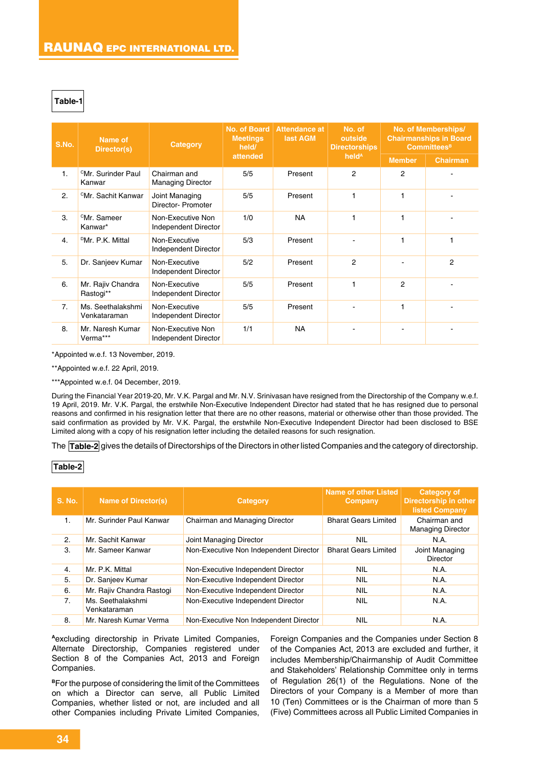**Table-1** 

| S.No. | Name of<br>Director(s)                   | <b>Category</b>                           | <b>No. of Board</b><br><b>Meetings</b><br>held/ | <b>Attendance at</b><br>last AGM | No. of<br>outside<br><b>Directorships</b> | No. of Memberships/<br><b>Chairmanships in Board</b><br><b>Committees</b> <sup>B</sup> |                 |
|-------|------------------------------------------|-------------------------------------------|-------------------------------------------------|----------------------------------|-------------------------------------------|----------------------------------------------------------------------------------------|-----------------|
|       |                                          |                                           | attended                                        |                                  | held <sup>A</sup>                         |                                                                                        | <b>Chairman</b> |
| 1.    | <sup>c</sup> Mr. Surinder Paul<br>Kanwar | Chairman and<br><b>Managing Director</b>  | 5/5                                             | Present                          | $\overline{2}$                            | $\overline{2}$                                                                         |                 |
| 2.    | <sup>c</sup> Mr. Sachit Kanwar           | Joint Managing<br>Director-Promoter       | 5/5                                             | Present                          | 1                                         | 1                                                                                      |                 |
| 3.    | <sup>C</sup> Mr. Sameer<br>Kanwar*       | Non-Executive Non<br>Independent Director | 1/0                                             | <b>NA</b>                        |                                           | 1                                                                                      |                 |
| 4.    | <sup>D</sup> Mr. P.K. Mittal             | Non-Executive<br>Independent Director     | 5/3                                             | Present                          |                                           |                                                                                        | 1               |
| 5.    | Dr. Sanjeev Kumar                        | Non-Executive<br>Independent Director     | 5/2                                             | Present                          | $\overline{2}$                            |                                                                                        | $\overline{2}$  |
| 6.    | Mr. Rajiv Chandra<br>Rastogi**           | Non-Executive<br>Independent Director     | 5/5                                             | Present                          |                                           | $\overline{2}$                                                                         |                 |
| 7.    | Ms. Seethalakshmi<br>Venkataraman        | Non-Executive<br>Independent Director     | 5/5                                             | Present                          |                                           | 1                                                                                      |                 |
| 8.    | Mr. Naresh Kumar<br>Verma***             | Non-Executive Non<br>Independent Director | 1/1                                             | <b>NA</b>                        |                                           |                                                                                        |                 |

\*Appointed w.e.f. 13 November, 2019.

\*\*Appointed w.e.f. 22 April, 2019.

\*\*\*Appointed w.e.f. 04 December, 2019.

During the Financial Year 2019-20, Mr. V.K. Pargal and Mr. N.V. Srinivasan have resigned from the Directorship of the Company w.e.f. 19 April, 2019. Mr. V.K. Pargal, the erstwhile Non-Executive Independent Director had stated that he has resigned due to personal reasons and confirmed in his resignation letter that there are no other reasons, material or otherwise other than those provided. The said confirmation as provided by Mr. V.K. Pargal, the erstwhile Non-Executive Independent Director had been disclosed to BSE Limited along with a copy of his resignation letter including the detailed reasons for such resignation.

The **Table-2** gives the details of Directorships of the Directors in other listed Companies and the category of directorship.

**Table-2** 

| <b>S. No.</b> | <b>Name of Director(s)</b>        | Category                               | <b>Name of other Listed</b><br>Company | <b>Category of</b><br>Directorship in other<br><b>listed Company</b> |
|---------------|-----------------------------------|----------------------------------------|----------------------------------------|----------------------------------------------------------------------|
| 1.            | Mr. Surinder Paul Kanwar          | Chairman and Managing Director         | <b>Bharat Gears Limited</b>            | Chairman and<br><b>Managing Director</b>                             |
| 2.            | Mr. Sachit Kanwar                 | Joint Managing Director                | <b>NIL</b>                             | N.A.                                                                 |
| 3.            | Mr. Sameer Kanwar                 | Non-Executive Non Independent Director | <b>Bharat Gears Limited</b>            | Joint Managing<br>Director                                           |
| 4.            | Mr. P.K. Mittal                   | Non-Executive Independent Director     | NIL                                    | N.A.                                                                 |
| 5.            | Dr. Sanjeev Kumar                 | Non-Executive Independent Director     | <b>NIL</b>                             | N.A.                                                                 |
| 6.            | Mr. Rajiv Chandra Rastogi         | Non-Executive Independent Director     | <b>NIL</b>                             | N.A.                                                                 |
| 7.            | Ms. Seethalakshmi<br>Venkataraman | Non-Executive Independent Director     | <b>NIL</b>                             | N.A.                                                                 |
| 8.            | Mr. Naresh Kumar Verma            | Non-Executive Non Independent Director | NIL                                    | N.A.                                                                 |

**<sup>A</sup>**excluding directorship in Private Limited Companies, Alternate Directorship, Companies registered under Section 8 of the Companies Act, 2013 and Foreign Companies.

**<sup>B</sup>**For the purpose of considering the limit of the Committees on which a Director can serve, all Public Limited Companies, whether listed or not, are included and all other Companies including Private Limited Companies,

Foreign Companies and the Companies under Section 8 of the Companies Act, 2013 are excluded and further, it includes Membership/Chairmanship of Audit Committee and Stakeholders' Relationship Committee only in terms of Regulation 26(1) of the Regulations. None of the Directors of your Company is a Member of more than 10 (Ten) Committees or is the Chairman of more than 5 (Five) Committees across all Public Limited Companies in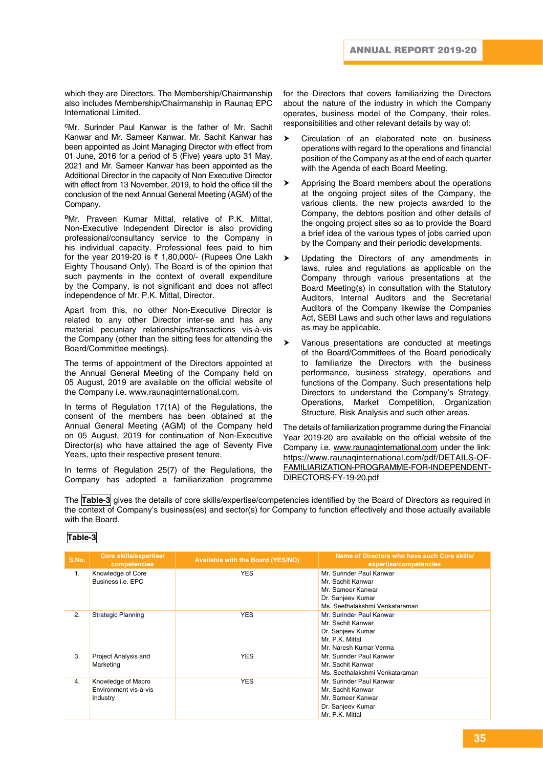which they are Directors. The Membership/Chairmanship also includes Membership/Chairmanship in Raunaq EPC International Limited.

**<sup>C</sup>**Mr. Surinder Paul Kanwar is the father of Mr. Sachit Kanwar and Mr. Sameer Kanwar. Mr. Sachit Kanwar has been appointed as Joint Managing Director with effect from 01 June, 2016 for a period of 5 (Five) years upto 31 May, 2021 and Mr. Sameer Kanwar has been appointed as the Additional Director in the capacity of Non Executive Director with effect from 13 November, 2019, to hold the office till the conclusion of the next Annual General Meeting (AGM) of the Company.

**<sup>D</sup>**Mr. Praveen Kumar Mittal, relative of P.K. Mittal, Non-Executive Independent Director is also providing professional/consultancy service to the Company in his individual capacity. Professional fees paid to him for the year 2019-20 is  $\bar{\tau}$  1,80,000/- (Rupees One Lakh Eighty Thousand Only). The Board is of the opinion that such payments in the context of overall expenditure by the Company, is not significant and does not affect independence of Mr. P.K. Mittal, Director.

Apart from this, no other Non-Executive Director is related to any other Director inter-se and has any material pecuniary relationships/transactions vis-à-vis the Company (other than the sitting fees for attending the Board/Committee meetings).

The terms of appointment of the Directors appointed at the Annual General Meeting of the Company held on 05 August, 2019 are available on the official website of the Company i.e. www.raunaqinternational.com.

In terms of Regulation 17(1A) of the Regulations, the consent of the members has been obtained at the Annual General Meeting (AGM) of the Company held on 05 August, 2019 for continuation of Non-Executive Director(s) who have attained the age of Seventy Five Years, upto their respective present tenure.

In terms of Regulation 25(7) of the Regulations, the Company has adopted a familiarization programme for the Directors that covers familiarizing the Directors about the nature of the industry in which the Company operates, business model of the Company, their roles, responsibilities and other relevant details by way of:

- Circulation of an elaborated note on business operations with regard to the operations and financial position of the Company as at the end of each quarter with the Agenda of each Board Meeting.
- Apprising the Board members about the operations at the ongoing project sites of the Company, the various clients, the new projects awarded to the Company, the debtors position and other details of the ongoing project sites so as to provide the Board a brief idea of the various types of jobs carried upon by the Company and their periodic developments.
- > Updating the Directors of any amendments in laws, rules and regulations as applicable on the Company through various presentations at the Board Meeting(s) in consultation with the Statutory Auditors, Internal Auditors and the Secretarial Auditors of the Company likewise the Companies Act, SEBI Laws and such other laws and regulations as may be applicable.
- Various presentations are conducted at meetings of the Board/Committees of the Board periodically to familiarize the Directors with the business performance, business strategy, operations and functions of the Company. Such presentations help Directors to understand the Company's Strategy, Operations, Market Competition, Organization Structure, Risk Analysis and such other areas.

The details of familiarization programme during the Financial Year 2019-20 are available on the official website of the Company i.e. www.raunaqinternational.com under the link: https://www.raunaqinternational.com/pdf/DETAILS-OF-FAMILIARIZATION-PROGRAMME-FOR-INDEPENDENT-DIRECTORS-FY-19-20.pdf

The **Table-3** gives the details of core skills/expertise/competencies identified by the Board of Directors as required in the context of Company's business(es) and sector(s) for Company to function effectively and those actually available with the Board.

|--|

| S.No. | Core skills/expertise/<br>competencies | <b>Available with the Board (YES/NO)</b> | Name of Directors who have such Core skills/<br>expertise/competencies |
|-------|----------------------------------------|------------------------------------------|------------------------------------------------------------------------|
| 1.    | Knowledge of Core                      | <b>YES</b>                               | Mr. Surinder Paul Kanwar                                               |
|       | Business i.e. EPC                      |                                          | Mr. Sachit Kanwar                                                      |
|       |                                        |                                          | Mr. Sameer Kanwar                                                      |
|       |                                        |                                          | Dr. Sanjeev Kumar                                                      |
|       |                                        |                                          | Ms. Seethalakshmi Venkataraman                                         |
| 2.    | <b>Strategic Planning</b>              | <b>YES</b>                               | Mr. Surinder Paul Kanwar                                               |
|       |                                        |                                          | Mr. Sachit Kanwar                                                      |
|       |                                        |                                          | Dr. Sanjeev Kumar                                                      |
|       |                                        |                                          | Mr. P.K. Mittal                                                        |
|       |                                        |                                          | Mr. Naresh Kumar Verma                                                 |
| 3.    | Project Analysis and                   | <b>YES</b>                               | Mr. Surinder Paul Kanwar                                               |
|       | Marketing                              |                                          | Mr. Sachit Kanwar                                                      |
|       |                                        |                                          | Ms. Seethalakshmi Venkataraman                                         |
| 4.    | Knowledge of Macro                     | <b>YES</b>                               | Mr. Surinder Paul Kanwar                                               |
|       | Environment vis-à-vis                  |                                          | Mr. Sachit Kanwar                                                      |
|       | Industry                               |                                          | Mr. Sameer Kanwar                                                      |
|       |                                        |                                          | Dr. Sanjeev Kumar                                                      |
|       |                                        |                                          | Mr. P.K. Mittal                                                        |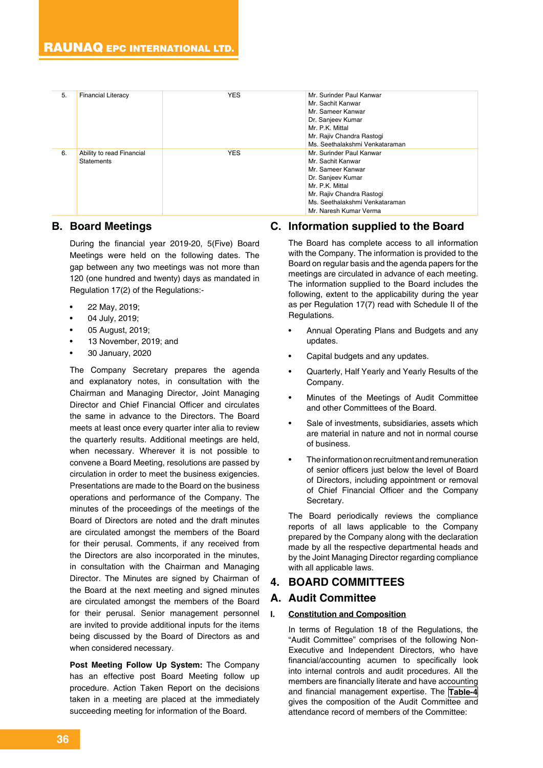| 5. | <b>Financial Literacy</b>                      | <b>YES</b> | Mr. Surinder Paul Kanwar<br>Mr. Sachit Kanwar<br>Mr. Sameer Kanwar<br>Dr. Sanjeev Kumar<br>Mr. P.K. Mittal<br>Mr. Rajiv Chandra Rastogi<br>Ms. Seethalakshmi Venkataraman                           |
|----|------------------------------------------------|------------|-----------------------------------------------------------------------------------------------------------------------------------------------------------------------------------------------------|
| 6. | Ability to read Financial<br><b>Statements</b> | <b>YES</b> | Mr. Surinder Paul Kanwar<br>Mr. Sachit Kanwar<br>Mr. Sameer Kanwar<br>Dr. Sanjeev Kumar<br>Mr. P.K. Mittal<br>Mr. Rajiv Chandra Rastogi<br>Ms. Seethalakshmi Venkataraman<br>Mr. Naresh Kumar Verma |

# **B. Board Meetings**

During the financial year 2019-20, 5(Five) Board Meetings were held on the following dates. The gap between any two meetings was not more than 120 (one hundred and twenty) days as mandated in Regulation 17(2) of the Regulations:-

- 22 May, 2019;
- 04 July, 2019;
- 05 August, 2019;
- 13 November, 2019; and
- 30 January, 2020

The Company Secretary prepares the agenda and explanatory notes, in consultation with the Chairman and Managing Director, Joint Managing Director and Chief Financial Officer and circulates the same in advance to the Directors. The Board meets at least once every quarter inter alia to review the quarterly results. Additional meetings are held, when necessary. Wherever it is not possible to convene a Board Meeting, resolutions are passed by circulation in order to meet the business exigencies. Presentations are made to the Board on the business operations and performance of the Company. The minutes of the proceedings of the meetings of the Board of Directors are noted and the draft minutes are circulated amongst the members of the Board for their perusal. Comments, if any received from the Directors are also incorporated in the minutes, in consultation with the Chairman and Managing Director. The Minutes are signed by Chairman of the Board at the next meeting and signed minutes are circulated amongst the members of the Board for their perusal. Senior management personnel are invited to provide additional inputs for the items being discussed by the Board of Directors as and when considered necessary.

**Post Meeting Follow Up System:** The Company has an effective post Board Meeting follow up procedure. Action Taken Report on the decisions taken in a meeting are placed at the immediately succeeding meeting for information of the Board.

# **C. Information supplied to the Board**

The Board has complete access to all information with the Company. The information is provided to the Board on regular basis and the agenda papers for the meetings are circulated in advance of each meeting. The information supplied to the Board includes the following, extent to the applicability during the year as per Regulation 17(7) read with Schedule II of the Regulations.

- Annual Operating Plans and Budgets and any updates.
- Capital budgets and any updates.
- Quarterly, Half Yearly and Yearly Results of the Company.
- Minutes of the Meetings of Audit Committee and other Committees of the Board.
- Sale of investments, subsidiaries, assets which are material in nature and not in normal course of business.
- The information on recruitment and remuneration of senior officers just below the level of Board of Directors, including appointment or removal of Chief Financial Officer and the Company Secretary.

The Board periodically reviews the compliance reports of all laws applicable to the Company prepared by the Company along with the declaration made by all the respective departmental heads and by the Joint Managing Director regarding compliance with all applicable laws.

## **4. BOARD COMMITTEES**

# **A. Audit Committee**

#### **I. Constitution and Composition**

In terms of Regulation 18 of the Regulations, the "Audit Committee" comprises of the following Non-Executive and Independent Directors, who have financial/accounting acumen to specifically look into internal controls and audit procedures. All the members are financially literate and have accounting and financial management expertise. The **Table-4** gives the composition of the Audit Committee and attendance record of members of the Committee: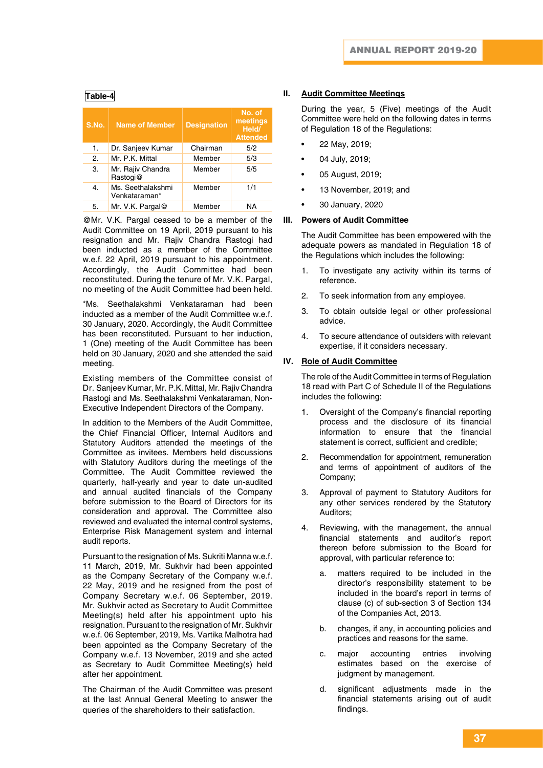## **Table-4**

| S.No. | <b>Name of Member</b>              | <b>Designation</b> | No. of<br>meetings<br>Held/<br><b>Attended</b> |
|-------|------------------------------------|--------------------|------------------------------------------------|
| 1.    | Dr. Sanjeev Kumar                  | Chairman           | 5/2                                            |
| 2.    | Mr. P.K. Mittal                    | Member             | 5/3                                            |
| 3.    | Mr. Rajiv Chandra<br>Rastogi@      | Member             | 5/5                                            |
| 4.    | Ms. Seethalakshmi<br>Venkataraman* | Member             | 1/1                                            |
| 5.    | Mr. V.K. Pargal@                   | Member             | ΝA                                             |

@Mr. V.K. Pargal ceased to be a member of the Audit Committee on 19 April, 2019 pursuant to his resignation and Mr. Rajiv Chandra Rastogi had been inducted as a member of the Committee w.e.f. 22 April, 2019 pursuant to his appointment. Accordingly, the Audit Committee had been reconstituted. During the tenure of Mr. V.K. Pargal, no meeting of the Audit Committee had been held.

\*Ms. Seethalakshmi Venkataraman had been inducted as a member of the Audit Committee w.e.f. 30 January, 2020. Accordingly, the Audit Committee has been reconstituted. Pursuant to her induction, 1 (One) meeting of the Audit Committee has been held on 30 January, 2020 and she attended the said meeting.

Existing members of the Committee consist of Dr. Sanjeev Kumar, Mr. P.K. Mittal, Mr. Rajiv Chandra Rastogi and Ms. Seethalakshmi Venkataraman, Non-Executive Independent Directors of the Company.

In addition to the Members of the Audit Committee, the Chief Financial Officer, Internal Auditors and Statutory Auditors attended the meetings of the Committee as invitees. Members held discussions with Statutory Auditors during the meetings of the Committee. The Audit Committee reviewed the quarterly, half-yearly and year to date un-audited and annual audited financials of the Company before submission to the Board of Directors for its consideration and approval. The Committee also reviewed and evaluated the internal control systems, Enterprise Risk Management system and internal audit reports.

Pursuant to the resignation of Ms. Sukriti Manna w.e.f. 11 March, 2019, Mr. Sukhvir had been appointed as the Company Secretary of the Company w.e.f. 22 May, 2019 and he resigned from the post of Company Secretary w.e.f. 06 September, 2019. Mr. Sukhvir acted as Secretary to Audit Committee Meeting(s) held after his appointment upto his resignation. Pursuant to the resignation of Mr. Sukhvir w.e.f. 06 September, 2019, Ms. Vartika Malhotra had been appointed as the Company Secretary of the Company w.e.f. 13 November, 2019 and she acted as Secretary to Audit Committee Meeting(s) held after her appointment.

The Chairman of the Audit Committee was present at the last Annual General Meeting to answer the queries of the shareholders to their satisfaction.

## **II. Audit Committee Meetings**

During the year, 5 (Five) meetings of the Audit Committee were held on the following dates in terms of Regulation 18 of the Regulations:

- 22 May, 2019;
- 04 July, 2019;
- 05 August, 2019;
- 13 November, 2019; and
- 30 January, 2020

#### **III. Powers of Audit Committee**

The Audit Committee has been empowered with the adequate powers as mandated in Regulation 18 of the Regulations which includes the following:

- 1. To investigate any activity within its terms of reference.
- 2. To seek information from any employee.
- 3. To obtain outside legal or other professional advice.
- 4. To secure attendance of outsiders with relevant expertise, if it considers necessary.

#### **IV. Role of Audit Committee**

The role of the Audit Committee in terms of Regulation 18 read with Part C of Schedule II of the Regulations includes the following:

- Oversight of the Company's financial reporting process and the disclosure of its financial information to ensure that the financial statement is correct, sufficient and credible;
- 2. Recommendation for appointment, remuneration and terms of appointment of auditors of the Company;
- 3. Approval of payment to Statutory Auditors for any other services rendered by the Statutory Auditors;
- 4. Reviewing, with the management, the annual financial statements and auditor's report thereon before submission to the Board for approval, with particular reference to:
	- a. matters required to be included in the director's responsibility statement to be included in the board's report in terms of clause (c) of sub-section 3 of Section 134 of the Companies Act, 2013.
	- b. changes, if any, in accounting policies and practices and reasons for the same.
	- c. major accounting entries involving estimates based on the exercise of judgment by management.
	- d. significant adjustments made in the financial statements arising out of audit findings.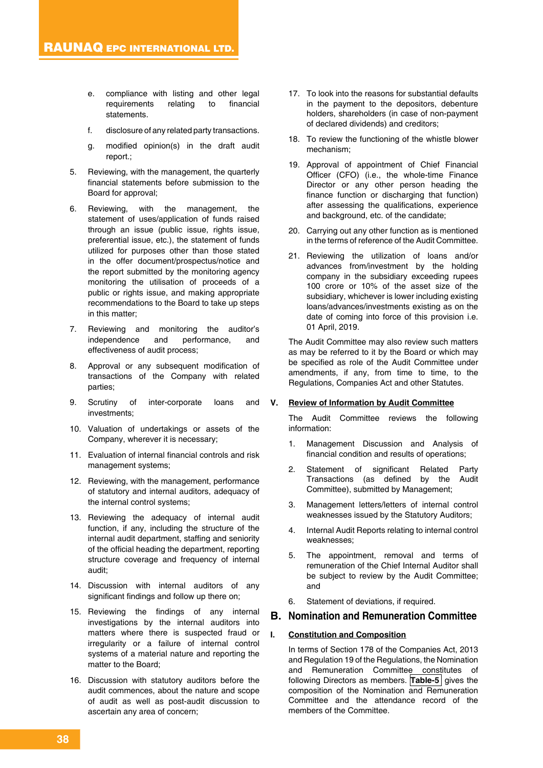- e. compliance with listing and other legal<br>requirements relating to financial requirements relating to statements.
- f. disclosure of any related party transactions.
- g. modified opinion(s) in the draft audit report.;
- 5. Reviewing, with the management, the quarterly financial statements before submission to the Board for approval;
- 6. Reviewing, with the management, the statement of uses/application of funds raised through an issue (public issue, rights issue, preferential issue, etc.), the statement of funds utilized for purposes other than those stated in the offer document/prospectus/notice and the report submitted by the monitoring agency monitoring the utilisation of proceeds of a public or rights issue, and making appropriate recommendations to the Board to take up steps in this matter;
- 7. Reviewing and monitoring the auditor's independence and performance, and effectiveness of audit process;
- 8. Approval or any subsequent modification of transactions of the Company with related parties;
- 9. Scrutiny of inter-corporate loans and investments;
- 10. Valuation of undertakings or assets of the Company, wherever it is necessary;
- 11. Evaluation of internal financial controls and risk management systems;
- 12. Reviewing, with the management, performance of statutory and internal auditors, adequacy of the internal control systems;
- 13. Reviewing the adequacy of internal audit function, if any, including the structure of the internal audit department, staffing and seniority of the official heading the department, reporting structure coverage and frequency of internal audit;
- 14. Discussion with internal auditors of any significant findings and follow up there on;
- 15. Reviewing the findings of any internal investigations by the internal auditors into matters where there is suspected fraud or irregularity or a failure of internal control systems of a material nature and reporting the matter to the Board;
- 16. Discussion with statutory auditors before the audit commences, about the nature and scope of audit as well as post-audit discussion to ascertain any area of concern;
- 17. To look into the reasons for substantial defaults in the payment to the depositors, debenture holders, shareholders (in case of non-payment of declared dividends) and creditors;
- 18. To review the functioning of the whistle blower mechanism;
- 19. Approval of appointment of Chief Financial Officer (CFO) (i.e., the whole-time Finance Director or any other person heading the finance function or discharging that function) after assessing the qualifications, experience and background, etc. of the candidate;
- 20. Carrying out any other function as is mentioned in the terms of reference of the Audit Committee.
- 21. Reviewing the utilization of loans and/or advances from/investment by the holding company in the subsidiary exceeding rupees 100 crore or 10% of the asset size of the subsidiary, whichever is lower including existing loans/advances/investments existing as on the date of coming into force of this provision i.e. 01 April, 2019.

The Audit Committee may also review such matters as may be referred to it by the Board or which may be specified as role of the Audit Committee under amendments, if any, from time to time, to the Regulations, Companies Act and other Statutes.

## **V. Review of Information by Audit Committee**

The Audit Committee reviews the following information:

- 1. Management Discussion and Analysis of financial condition and results of operations;
- 2. Statement of significant Related Party Transactions (as defined by the Audit Committee), submitted by Management;
- 3. Management letters/letters of internal control weaknesses issued by the Statutory Auditors;
- 4. Internal Audit Reports relating to internal control weaknesses;
- 5. The appointment, removal and terms of remuneration of the Chief Internal Auditor shall be subject to review by the Audit Committee; and
- 6. Statement of deviations, if required.

## **B. Nomination and Remuneration Committee**

## **I. Constitution and Composition**

In terms of Section 178 of the Companies Act, 2013 and Regulation 19 of the Regulations, the Nomination and Remuneration Committee constitutes of following Directors as members. **Table-5** gives the composition of the Nomination and Remuneration Committee and the attendance record of the members of the Committee.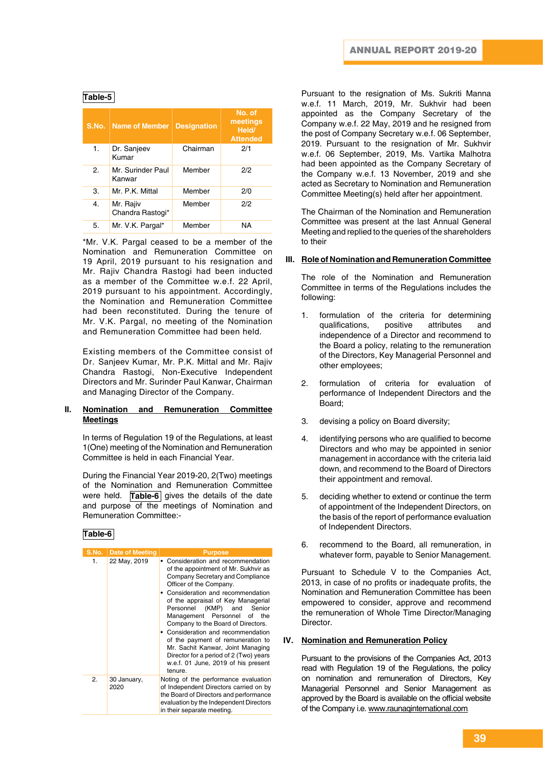#### **Table-5**

| S.No. | <b>Name of Member</b>         | <b>Designation</b> | No. of<br>meetings<br>Held/<br><b>Attended</b> |
|-------|-------------------------------|--------------------|------------------------------------------------|
| 1.    | Dr. Sanjeev<br>Kumar          | Chairman           | 2/1                                            |
| 2.    | Mr. Surinder Paul<br>Kanwar   | Member             | 2/2                                            |
| 3.    | Mr. P.K. Mittal               | Member             | 2/0                                            |
| 4.    | Mr. Rajiv<br>Chandra Rastogi* | Member             | 2/2                                            |
| 5.    | Mr. V.K. Pargal*              | Member             | NA                                             |

\*Mr. V.K. Pargal ceased to be a member of the Nomination and Remuneration Committee on 19 April, 2019 pursuant to his resignation and Mr. Rajiv Chandra Rastogi had been inducted as a member of the Committee w.e.f. 22 April, 2019 pursuant to his appointment. Accordingly, the Nomination and Remuneration Committee had been reconstituted. During the tenure of Mr. V.K. Pargal, no meeting of the Nomination and Remuneration Committee had been held.

Existing members of the Committee consist of Dr. Sanjeev Kumar, Mr. P.K. Mittal and Mr. Rajiv Chandra Rastogi, Non-Executive Independent Directors and Mr. Surinder Paul Kanwar, Chairman and Managing Director of the Company.

#### **II. Nomination and Remuneration Committee Meetings**

In terms of Regulation 19 of the Regulations, at least 1(One) meeting of the Nomination and Remuneration Committee is held in each Financial Year.

During the Financial Year 2019-20, 2(Two) meetings of the Nomination and Remuneration Committee were held. **Table-6** gives the details of the date and purpose of the meetings of Nomination and Remuneration Committee:-

## **Table-6**

| S.No. | <b>Date of Meeting</b> | <b>Purpose</b>                                                                                                                                                                                                                                                                                                                                                                                                                                                                                                                             |
|-------|------------------------|--------------------------------------------------------------------------------------------------------------------------------------------------------------------------------------------------------------------------------------------------------------------------------------------------------------------------------------------------------------------------------------------------------------------------------------------------------------------------------------------------------------------------------------------|
| 1.    | 22 May, 2019           | • Consideration and recommendation<br>of the appointment of Mr. Sukhvir as<br>Company Secretary and Compliance<br>Officer of the Company.<br>• Consideration and recommendation<br>of the appraisal of Key Managerial<br>Personnel (KMP) and<br>Senior<br>Management Personnel of<br>the<br>Company to the Board of Directors.<br>• Consideration and recommendation<br>of the payment of remuneration to<br>Mr. Sachit Kanwar, Joint Managing<br>Director for a period of 2 (Two) years<br>w.e.f. 01 June, 2019 of his present<br>tenure. |
| 2.    | 30 January,<br>2020    | Noting of the performance evaluation<br>of Independent Directors carried on by<br>the Board of Directors and performance<br>evaluation by the Independent Directors<br>in their separate meeting.                                                                                                                                                                                                                                                                                                                                          |

Pursuant to the resignation of Ms. Sukriti Manna w.e.f. 11 March, 2019, Mr. Sukhvir had been appointed as the Company Secretary of the Company w.e.f. 22 May, 2019 and he resigned from the post of Company Secretary w.e.f. 06 September, 2019. Pursuant to the resignation of Mr. Sukhvir w.e.f. 06 September, 2019, Ms. Vartika Malhotra had been appointed as the Company Secretary of the Company w.e.f. 13 November, 2019 and she acted as Secretary to Nomination and Remuneration Committee Meeting(s) held after her appointment.

The Chairman of the Nomination and Remuneration Committee was present at the last Annual General Meeting and replied to the queries of the shareholders to their

#### **III. Role of Nomination and Remuneration Committee**

The role of the Nomination and Remuneration Committee in terms of the Regulations includes the following:

- 1. formulation of the criteria for determining qualifications, positive attributes and independence of a Director and recommend to the Board a policy, relating to the remuneration of the Directors, Key Managerial Personnel and other employees;
- 2. formulation of criteria for evaluation of performance of Independent Directors and the Board;
- 3. devising a policy on Board diversity;
- 4. identifying persons who are qualified to become Directors and who may be appointed in senior management in accordance with the criteria laid down, and recommend to the Board of Directors their appointment and removal.
- 5. deciding whether to extend or continue the term of appointment of the Independent Directors, on the basis of the report of performance evaluation of Independent Directors.
- 6. recommend to the Board, all remuneration, in whatever form, payable to Senior Management.

Pursuant to Schedule V to the Companies Act, 2013, in case of no profits or inadequate profits, the Nomination and Remuneration Committee has been empowered to consider, approve and recommend the remuneration of Whole Time Director/Managing Director.

#### **IV. Nomination and Remuneration Policy**

Pursuant to the provisions of the Companies Act, 2013 read with Regulation 19 of the Regulations, the policy on nomination and remuneration of Directors, Key Managerial Personnel and Senior Management as approved by the Board is available on the official website of the Company i.e. www.raunaqinternational.com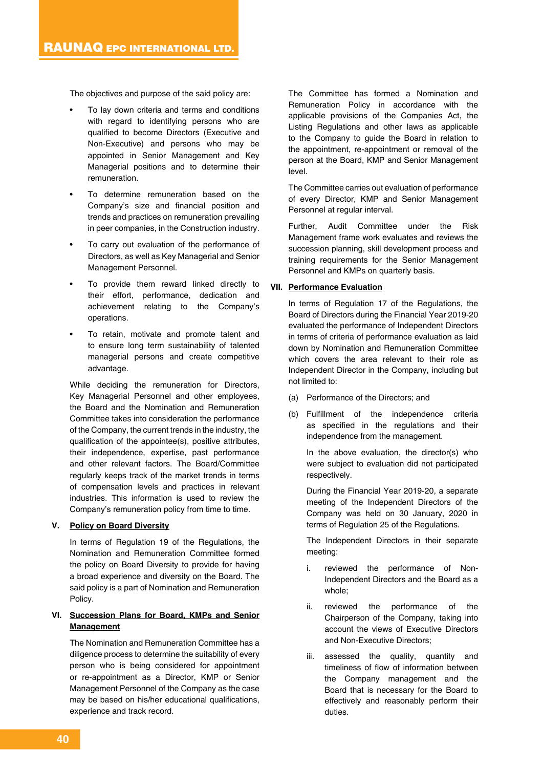The objectives and purpose of the said policy are:

- To lay down criteria and terms and conditions with regard to identifying persons who are qualified to become Directors (Executive and Non-Executive) and persons who may be appointed in Senior Management and Key Managerial positions and to determine their remuneration.
- To determine remuneration based on the Company's size and financial position and trends and practices on remuneration prevailing in peer companies, in the Construction industry.
- To carry out evaluation of the performance of Directors, as well as Key Managerial and Senior Management Personnel.
- To provide them reward linked directly to their effort, performance, dedication and achievement relating to the Company's operations.
- To retain, motivate and promote talent and to ensure long term sustainability of talented managerial persons and create competitive advantage.

While deciding the remuneration for Directors, Key Managerial Personnel and other employees, the Board and the Nomination and Remuneration Committee takes into consideration the performance of the Company, the current trends in the industry, the qualification of the appointee(s), positive attributes, their independence, expertise, past performance and other relevant factors. The Board/Committee regularly keeps track of the market trends in terms of compensation levels and practices in relevant industries. This information is used to review the Company's remuneration policy from time to time.

#### **V. Policy on Board Diversity**

In terms of Regulation 19 of the Regulations, the Nomination and Remuneration Committee formed the policy on Board Diversity to provide for having a broad experience and diversity on the Board. The said policy is a part of Nomination and Remuneration Policy.

## **VI. Succession Plans for Board, KMPs and Senior Management**

The Nomination and Remuneration Committee has a diligence process to determine the suitability of every person who is being considered for appointment or re-appointment as a Director, KMP or Senior Management Personnel of the Company as the case may be based on his/her educational qualifications, experience and track record.

The Committee has formed a Nomination and Remuneration Policy in accordance with the applicable provisions of the Companies Act, the Listing Regulations and other laws as applicable to the Company to guide the Board in relation to the appointment, re-appointment or removal of the person at the Board, KMP and Senior Management level.

The Committee carries out evaluation of performance of every Director, KMP and Senior Management Personnel at regular interval.

Further, Audit Committee under the Risk Management frame work evaluates and reviews the succession planning, skill development process and training requirements for the Senior Management Personnel and KMPs on quarterly basis.

#### **VII. Performance Evaluation**

In terms of Regulation 17 of the Regulations, the Board of Directors during the Financial Year 2019-20 evaluated the performance of Independent Directors in terms of criteria of performance evaluation as laid down by Nomination and Remuneration Committee which covers the area relevant to their role as Independent Director in the Company, including but not limited to:

- (a) Performance of the Directors; and
- (b) Fulfillment of the independence criteria as specified in the regulations and their independence from the management.

 In the above evaluation, the director(s) who were subject to evaluation did not participated respectively.

 During the Financial Year 2019-20, a separate meeting of the Independent Directors of the Company was held on 30 January, 2020 in terms of Regulation 25 of the Regulations.

 The Independent Directors in their separate meeting:

- i. reviewed the performance of Non-Independent Directors and the Board as a whole;
- ii. reviewed the performance of the Chairperson of the Company, taking into account the views of Executive Directors and Non-Executive Directors;
- iii. assessed the quality, quantity and timeliness of flow of information between the Company management and the Board that is necessary for the Board to effectively and reasonably perform their duties.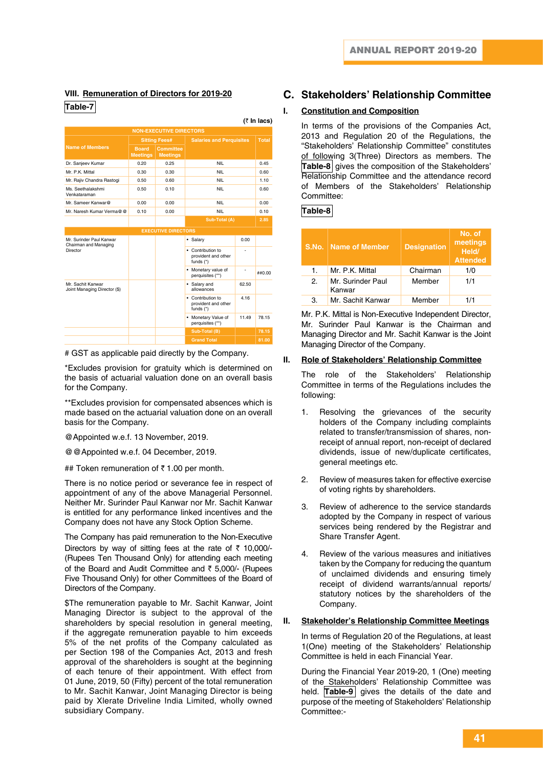# **VIII. Remuneration of Directors for 2019-20 Table-7**

|                                                   |                                 |                                     |                                                       |                | (₹ In lacs)  |  |
|---------------------------------------------------|---------------------------------|-------------------------------------|-------------------------------------------------------|----------------|--------------|--|
| <b>NON-EXECUTIVE DIRECTORS</b>                    |                                 |                                     |                                                       |                |              |  |
|                                                   | <b>Sitting Fees#</b>            |                                     | <b>Salaries and Perquisites</b>                       |                | <b>Total</b> |  |
| <b>Name of Members</b>                            | <b>Board</b><br><b>Meetings</b> | <b>Committee</b><br><b>Meetings</b> |                                                       |                |              |  |
| Dr. Sanjeev Kumar                                 | 0.20                            | 0.25                                | NIL.                                                  |                | 0.45         |  |
| Mr. P.K. Mittal                                   | 0.30                            | 0.30                                | <b>NIL</b>                                            |                | 0.60         |  |
| Mr. Rajiv Chandra Rastogi                         | 0.50                            | 0.60                                | NII                                                   |                | 1.10         |  |
| Ms. Seethalakshmi<br>Venkataraman                 | 0.50                            | 0.10                                | <b>NIL</b>                                            |                | 0.60         |  |
| Mr. Sameer Kanwar@                                | 0.00                            | 0.00                                | <b>NIL</b>                                            |                | 0.00         |  |
| Mr. Naresh Kumar Verma@@                          | 0.10                            | 0.00                                | <b>NIL</b>                                            |                | 0.10         |  |
|                                                   |                                 |                                     | Sub-Total (A)                                         |                | 2.85         |  |
|                                                   |                                 | <b>EXECUTIVE DIRECTORS</b>          |                                                       |                |              |  |
| Mr. Surinder Paul Kanwar<br>Chairman and Managing |                                 |                                     | · Salary                                              | 0.00           |              |  |
| Director                                          |                                 |                                     | • Contribution to<br>provident and other<br>funds (*) |                |              |  |
|                                                   |                                 |                                     | • Monetary value of<br>perquisites (**)               | $\overline{a}$ | ##0.00       |  |
| Mr. Sachit Kanwar<br>Joint Managing Director (\$) |                                 |                                     | • Salary and<br>allowances                            | 62.50          |              |  |
|                                                   |                                 |                                     | • Contribution to<br>provident and other<br>funds (*) | 4.16           |              |  |
|                                                   |                                 |                                     | • Monetary Value of<br>perquisites (**)               | 11.49          | 78.15        |  |
|                                                   |                                 |                                     | Sub-Total (B)                                         |                | 78.15        |  |
|                                                   |                                 |                                     | <b>Grand Total</b>                                    |                | 81.00        |  |

# GST as applicable paid directly by the Company.

\*Excludes provision for gratuity which is determined on the basis of actuarial valuation done on an overall basis for the Company.

\*\*Excludes provision for compensated absences which is made based on the actuarial valuation done on an overall basis for the Company.

@Appointed w.e.f. 13 November, 2019.

@@Appointed w.e.f. 04 December, 2019.

## Token remuneration of  $\bar{\tau}$  1.00 per month.

There is no notice period or severance fee in respect of appointment of any of the above Managerial Personnel. Neither Mr. Surinder Paul Kanwar nor Mr. Sachit Kanwar is entitled for any performance linked incentives and the Company does not have any Stock Option Scheme.

The Company has paid remuneration to the Non-Executive Directors by way of sitting fees at the rate of  $\bar{\tau}$  10,000/-(Rupees Ten Thousand Only) for attending each meeting of the Board and Audit Committee and  $\bar{\tau}$  5,000/- (Rupees Five Thousand Only) for other Committees of the Board of Directors of the Company.

\$The remuneration payable to Mr. Sachit Kanwar, Joint Managing Director is subject to the approval of the shareholders by special resolution in general meeting, if the aggregate remuneration payable to him exceeds 5% of the net profits of the Company calculated as per Section 198 of the Companies Act, 2013 and fresh approval of the shareholders is sought at the beginning of each tenure of their appointment. With effect from 01 June, 2019, 50 (Fifty) percent of the total remuneration to Mr. Sachit Kanwar, Joint Managing Director is being paid by Xlerate Driveline India Limited, wholly owned subsidiary Company.

# **C. Stakeholders' Relationship Committee**

#### **I. Constitution and Composition**

In terms of the provisions of the Companies Act, 2013 and Regulation 20 of the Regulations, the "Stakeholders' Relationship Committee" constitutes of following 3(Three) Directors as members. The Table-8<sup>|</sup> gives the composition of the Stakeholders' Relationship Committee and the attendance record of Members of the Stakeholders' Relationship Committee:

#### **Table-8**

|    | S.No. Name of Member        | <b>Designation</b> | No. of<br>meetings<br>Held/<br><b>Attended</b> |
|----|-----------------------------|--------------------|------------------------------------------------|
| 1. | Mr. P.K. Mittal             | Chairman           | 1/0                                            |
| 2. | Mr. Surinder Paul<br>Kanwar | Member             | 1/1                                            |
| 3. | Mr. Sachit Kanwar           | Member             | 1/1                                            |

Mr. P.K. Mittal is Non-Executive Independent Director, Mr. Surinder Paul Kanwar is the Chairman and Managing Director and Mr. Sachit Kanwar is the Joint Managing Director of the Company.

#### **II. Role of Stakeholders' Relationship Committee**

The role of the Stakeholders' Relationship Committee in terms of the Regulations includes the following:

- 1. Resolving the grievances of the security holders of the Company including complaints related to transfer/transmission of shares, nonreceipt of annual report, non-receipt of declared dividends, issue of new/duplicate certificates, general meetings etc.
- 2. Review of measures taken for effective exercise of voting rights by shareholders.
- 3. Review of adherence to the service standards adopted by the Company in respect of various services being rendered by the Registrar and Share Transfer Agent.
- 4. Review of the various measures and initiatives taken by the Company for reducing the quantum of unclaimed dividends and ensuring timely receipt of dividend warrants/annual reports/ statutory notices by the shareholders of the Company.

#### **II. Stakeholder's Relationship Committee Meetings**

In terms of Regulation 20 of the Regulations, at least 1(One) meeting of the Stakeholders' Relationship Committee is held in each Financial Year.

During the Financial Year 2019-20, 1 (One) meeting of the Stakeholders' Relationship Committee was held. **Table-9** gives the details of the date and purpose of the meeting of Stakeholders' Relationship Committee:-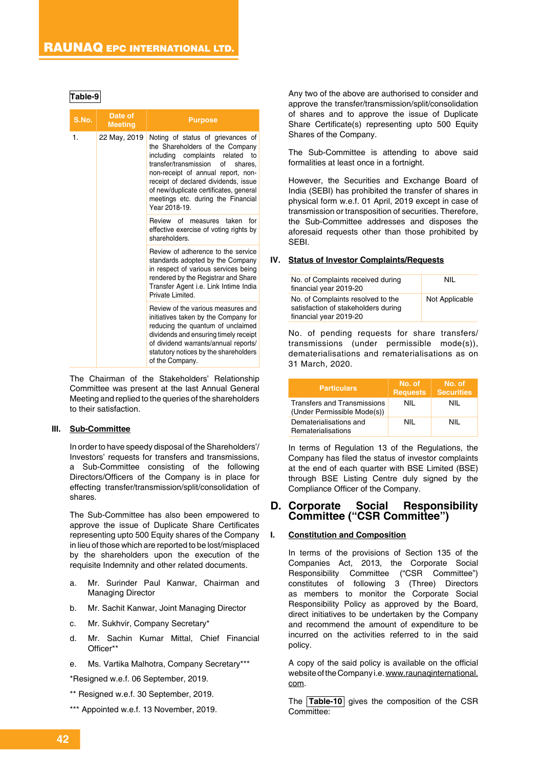| Table-9            |                           |                                                                                                                                                                                                                                                                                                                                     |
|--------------------|---------------------------|-------------------------------------------------------------------------------------------------------------------------------------------------------------------------------------------------------------------------------------------------------------------------------------------------------------------------------------|
| S.No.              | Date of<br><b>Meeting</b> | <b>Purpose</b>                                                                                                                                                                                                                                                                                                                      |
| 1.<br>22 May, 2019 |                           | Noting of status of grievances of<br>the Shareholders of the Company<br>including complaints related<br>to<br>transfer/transmission<br>οf<br>shares.<br>non-receipt of annual report, non-<br>receipt of declared dividends, issue<br>of new/duplicate certificates, general<br>meetings etc. during the Financial<br>Year 2018-19. |
|                    |                           | Review of measures<br>for<br>taken<br>effective exercise of voting rights by<br>shareholders.                                                                                                                                                                                                                                       |
|                    |                           | Review of adherence to the service<br>standards adopted by the Company<br>in respect of various services being<br>rendered by the Registrar and Share<br>Transfer Agent i.e. Link Intime India<br>Private Limited.                                                                                                                  |
|                    |                           | Review of the various measures and<br>initiatives taken by the Company for<br>reducing the quantum of unclaimed<br>dividends and ensuring timely receipt<br>of dividend warrants/annual reports/<br>statutory notices by the shareholders<br>of the Company.                                                                        |

The Chairman of the Stakeholders' Relationship Committee was present at the last Annual General Meeting and replied to the queries of the shareholders to their satisfaction.

#### **III. Sub-Committee**

In order to have speedy disposal of the Shareholders'/ Investors' requests for transfers and transmissions, a Sub-Committee consisting of the following Directors/Officers of the Company is in place for effecting transfer/transmission/split/consolidation of shares.

The Sub-Committee has also been empowered to approve the issue of Duplicate Share Certificates representing upto 500 Equity shares of the Company in lieu of those which are reported to be lost/misplaced by the shareholders upon the execution of the requisite Indemnity and other related documents.

- a. Mr. Surinder Paul Kanwar, Chairman and Managing Director
- b. Mr. Sachit Kanwar, Joint Managing Director
- c. Mr. Sukhvir, Company Secretary\*
- d. Mr. Sachin Kumar Mittal, Chief Financial Officer\*\*
- e. Ms. Vartika Malhotra, Company Secretary\*\*\*
- \*Resigned w.e.f. 06 September, 2019.
- \*\* Resigned w.e.f. 30 September, 2019.
- \*\*\* Appointed w.e.f. 13 November, 2019.

Any two of the above are authorised to consider and approve the transfer/transmission/split/consolidation of shares and to approve the issue of Duplicate Share Certificate(s) representing upto 500 Equity Shares of the Company.

The Sub-Committee is attending to above said formalities at least once in a fortnight.

However, the Securities and Exchange Board of India (SEBI) has prohibited the transfer of shares in physical form w.e.f. 01 April, 2019 except in case of transmission or transposition of securities. Therefore, the Sub-Committee addresses and disposes the aforesaid requests other than those prohibited by SEBI.

## **IV. Status of Investor Complaints/Requests**

| No. of Complaints received during<br>financial year 2019-20                                        | NIL            |
|----------------------------------------------------------------------------------------------------|----------------|
| No. of Complaints resolved to the<br>satisfaction of stakeholders during<br>financial year 2019-20 | Not Applicable |

No. of pending requests for share transfers/ transmissions (under permissible mode(s)), dematerialisations and rematerialisations as on 31 March, 2020.

| <b>Particulars</b>                                                | No. of<br><b>Requests</b> | No. of<br><b>Securities</b> |
|-------------------------------------------------------------------|---------------------------|-----------------------------|
| <b>Transfers and Transmissions</b><br>(Under Permissible Mode(s)) | NIL                       | NIL                         |
| Dematerialisations and<br>Rematerialisations                      | NII                       | NIL                         |

In terms of Regulation 13 of the Regulations, the Company has filed the status of investor complaints at the end of each quarter with BSE Limited (BSE) through BSE Listing Centre duly signed by the Compliance Officer of the Company.

# **D. Corporate Social Responsibility Committee ("CSR Committee")**

## **I. Constitution and Composition**

In terms of the provisions of Section 135 of the Companies Act, 2013, the Corporate Social Responsibility Committee ("CSR Committee") constitutes of following 3 (Three) Directors as members to monitor the Corporate Social Responsibility Policy as approved by the Board, direct initiatives to be undertaken by the Company and recommend the amount of expenditure to be incurred on the activities referred to in the said policy.

A copy of the said policy is available on the official website of the Company i.e. www.raunaqinternational. com.

The **Table-10** gives the composition of the CSR Committee: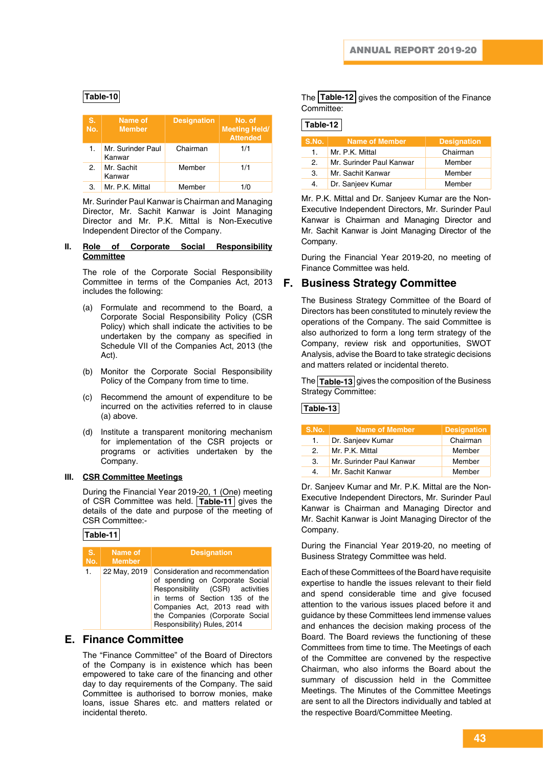#### **Table-10**

| S.<br>No. | Name of<br><b>Member</b>    | <b>Designation</b> | No. of<br><b>Meeting Held/</b><br><b>Attended</b> |
|-----------|-----------------------------|--------------------|---------------------------------------------------|
| 1.        | Mr. Surinder Paul<br>Kanwar | Chairman           | 1/1                                               |
| 2.        | Mr. Sachit<br>Kanwar        | Member             | 1/1                                               |
| З.        | Mr. P.K. Mittal             | Member             | 1/0                                               |

Mr. Surinder Paul Kanwar is Chairman and Managing Director, Mr. Sachit Kanwar is Joint Managing Director and Mr. P.K. Mittal is Non-Executive Independent Director of the Company.

#### **II. Role of Corporate Social Responsibility Committee**

The role of the Corporate Social Responsibility Committee in terms of the Companies Act, 2013 includes the following:

- (a) Formulate and recommend to the Board, a Corporate Social Responsibility Policy (CSR Policy) which shall indicate the activities to be undertaken by the company as specified in Schedule VII of the Companies Act, 2013 (the Act).
- (b) Monitor the Corporate Social Responsibility Policy of the Company from time to time.
- (c) Recommend the amount of expenditure to be incurred on the activities referred to in clause (a) above.
- (d) Institute a transparent monitoring mechanism for implementation of the CSR projects or programs or activities undertaken by the Company.

#### **III. CSR Committee Meetings**

During the Financial Year 2019-20, 1 (One) meeting of CSR Committee was held. **Table-11** gives the details of the date and purpose of the meeting of CSR Committee:-

**Table-11**

| S. | Name of<br>No. Member | <b>Designation</b>                                                                                                                                                                                                                          |
|----|-----------------------|---------------------------------------------------------------------------------------------------------------------------------------------------------------------------------------------------------------------------------------------|
| 1. | 22 May, 2019          | Consideration and recommendation<br>of spending on Corporate Social<br>Responsibility (CSR) activities<br>in terms of Section 135 of the<br>Companies Act, 2013 read with<br>the Companies (Corporate Social<br>Responsibility) Rules, 2014 |

# **E. Finance Committee**

The "Finance Committee" of the Board of Directors of the Company is in existence which has been empowered to take care of the financing and other day to day requirements of the Company. The said Committee is authorised to borrow monies, make loans, issue Shares etc. and matters related or incidental thereto.

The **Table-12** gives the composition of the Finance Committee:

#### **Table-12**

| S.No. | Name of Member           | <b>Designation</b> |
|-------|--------------------------|--------------------|
| 1.    | Mr. P.K. Mittal          | Chairman           |
| 2.    | Mr. Surinder Paul Kanwar | Member             |
| 3.    | Mr. Sachit Kanwar        | Member             |
| 4.    | Dr. Sanjeev Kumar        | Member             |

Mr. P.K. Mittal and Dr. Sanjeev Kumar are the Non-Executive Independent Directors, Mr. Surinder Paul Kanwar is Chairman and Managing Director and Mr. Sachit Kanwar is Joint Managing Director of the Company.

During the Financial Year 2019-20, no meeting of Finance Committee was held.

## **F. Business Strategy Committee**

The Business Strategy Committee of the Board of Directors has been constituted to minutely review the operations of the Company. The said Committee is also authorized to form a long term strategy of the Company, review risk and opportunities, SWOT Analysis, advise the Board to take strategic decisions and matters related or incidental thereto.

The **Table-13** gives the composition of the Business Strategy Committee:

**Table-13**

| S.No. | <b>Name of Member</b>    | <b>Designation</b> |
|-------|--------------------------|--------------------|
| 1.    | Dr. Sanjeev Kumar        | Chairman           |
| 2     | Mr. P.K. Mittal          | Member             |
| 3.    | Mr. Surinder Paul Kanwar | Member             |
| 4.    | Mr. Sachit Kanwar        | Member             |

Dr. Sanjeev Kumar and Mr. P.K. Mittal are the Non-Executive Independent Directors, Mr. Surinder Paul Kanwar is Chairman and Managing Director and Mr. Sachit Kanwar is Joint Managing Director of the Company.

During the Financial Year 2019-20, no meeting of Business Strategy Committee was held.

Each of these Committees of the Board have requisite expertise to handle the issues relevant to their field and spend considerable time and give focused attention to the various issues placed before it and guidance by these Committees lend immense values and enhances the decision making process of the Board. The Board reviews the functioning of these Committees from time to time. The Meetings of each of the Committee are convened by the respective Chairman, who also informs the Board about the summary of discussion held in the Committee Meetings. The Minutes of the Committee Meetings are sent to all the Directors individually and tabled at the respective Board/Committee Meeting.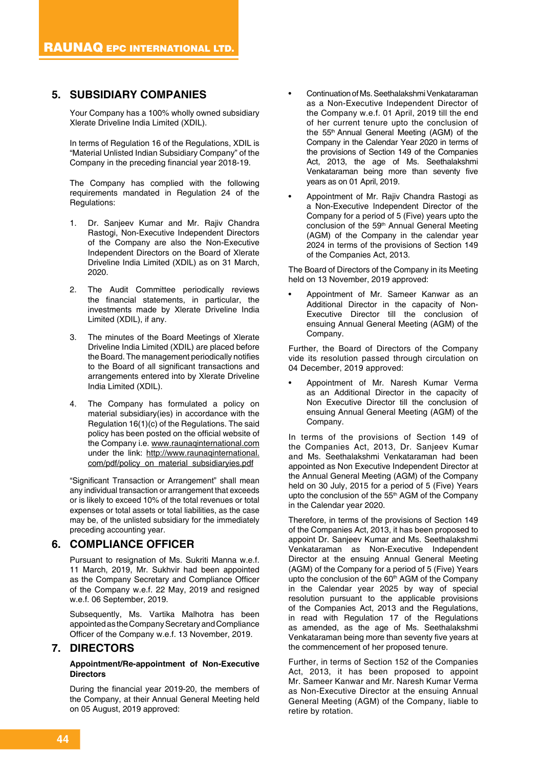# **5. SUBSIDIARY COMPANIES**

Your Company has a 100% wholly owned subsidiary Xlerate Driveline India Limited (XDIL).

In terms of Regulation 16 of the Regulations, XDIL is "Material Unlisted Indian Subsidiary Company" of the Company in the preceding financial year 2018-19.

The Company has complied with the following requirements mandated in Regulation 24 of the Regulations:

- 1. Dr. Sanjeev Kumar and Mr. Rajiv Chandra Rastogi, Non-Executive Independent Directors of the Company are also the Non-Executive Independent Directors on the Board of Xlerate Driveline India Limited (XDIL) as on 31 March, 2020.
- 2. The Audit Committee periodically reviews the financial statements, in particular, the investments made by Xlerate Driveline India Limited (XDIL), if any.
- 3. The minutes of the Board Meetings of Xlerate Driveline India Limited (XDIL) are placed before the Board. The management periodically notifies to the Board of all significant transactions and arrangements entered into by Xlerate Driveline India Limited (XDIL).
- 4. The Company has formulated a policy on material subsidiary(ies) in accordance with the Regulation 16(1)(c) of the Regulations. The said policy has been posted on the official website of the Company i.e. www.raunaqinternational.com under the link: http://www.raunaqinternational. com/pdf/policy\_on\_material\_subsidiaryies.pdf

"Significant Transaction or Arrangement" shall mean any individual transaction or arrangement that exceeds or is likely to exceed 10% of the total revenues or total expenses or total assets or total liabilities, as the case may be, of the unlisted subsidiary for the immediately preceding accounting year.

# **6. COMPLIANCE OFFICER**

Pursuant to resignation of Ms. Sukriti Manna w.e.f. 11 March, 2019, Mr. Sukhvir had been appointed as the Company Secretary and Compliance Officer of the Company w.e.f. 22 May, 2019 and resigned w.e.f. 06 September, 2019.

Subsequently, Ms. Vartika Malhotra has been appointed as the Company Secretary and Compliance Officer of the Company w.e.f. 13 November, 2019.

# **7. DIRECTORS**

#### **Appointment/Re-appointment of Non-Executive Directors**

During the financial year 2019-20, the members of the Company, at their Annual General Meeting held on 05 August, 2019 approved:

- Continuation of Ms. Seethalakshmi Venkataraman as a Non-Executive Independent Director of the Company w.e.f. 01 April, 2019 till the end of her current tenure upto the conclusion of the 55th Annual General Meeting (AGM) of the Company in the Calendar Year 2020 in terms of the provisions of Section 149 of the Companies Act, 2013, the age of Ms. Seethalakshmi Venkataraman being more than seventy five years as on 01 April, 2019.
- Appointment of Mr. Rajiv Chandra Rastogi as a Non-Executive Independent Director of the Company for a period of 5 (Five) years upto the conclusion of the 59<sup>th</sup> Annual General Meeting (AGM) of the Company in the calendar year 2024 in terms of the provisions of Section 149 of the Companies Act, 2013.

The Board of Directors of the Company in its Meeting held on 13 November, 2019 approved:

• Appointment of Mr. Sameer Kanwar as an Additional Director in the capacity of Non-Executive Director till the conclusion of ensuing Annual General Meeting (AGM) of the Company.

Further, the Board of Directors of the Company vide its resolution passed through circulation on 04 December, 2019 approved:

• Appointment of Mr. Naresh Kumar Verma as an Additional Director in the capacity of Non Executive Director till the conclusion of ensuing Annual General Meeting (AGM) of the Company.

In terms of the provisions of Section 149 of the Companies Act, 2013, Dr. Sanjeev Kumar and Ms. Seethalakshmi Venkataraman had been appointed as Non Executive Independent Director at the Annual General Meeting (AGM) of the Company held on 30 July, 2015 for a period of 5 (Five) Years upto the conclusion of the 55<sup>th</sup> AGM of the Company in the Calendar year 2020.

Therefore, in terms of the provisions of Section 149 of the Companies Act, 2013, it has been proposed to appoint Dr. Sanjeev Kumar and Ms. Seethalakshmi Venkataraman as Non-Executive Independent Director at the ensuing Annual General Meeting (AGM) of the Company for a period of 5 (Five) Years upto the conclusion of the 60<sup>th</sup> AGM of the Company in the Calendar year 2025 by way of special resolution pursuant to the applicable provisions of the Companies Act, 2013 and the Regulations, in read with Regulation 17 of the Regulations as amended, as the age of Ms. Seethalakshmi Venkataraman being more than seventy five years at the commencement of her proposed tenure.

Further, in terms of Section 152 of the Companies Act, 2013, it has been proposed to appoint Mr. Sameer Kanwar and Mr. Naresh Kumar Verma as Non-Executive Director at the ensuing Annual General Meeting (AGM) of the Company, liable to retire by rotation.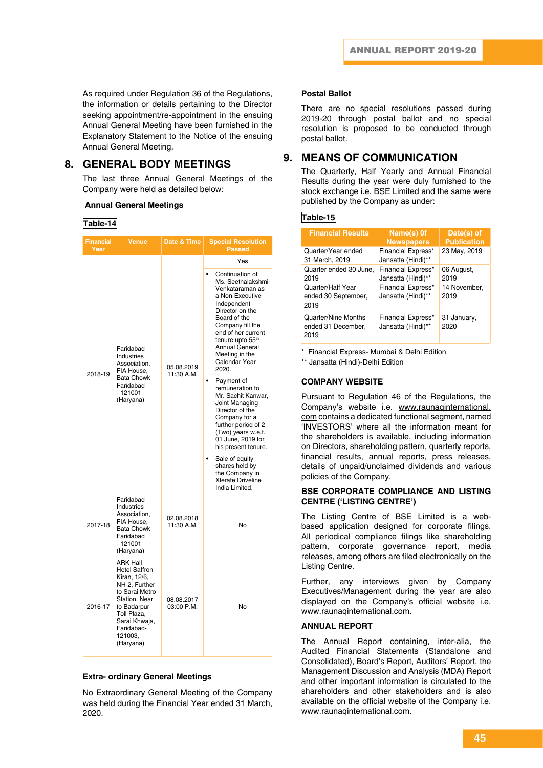As required under Regulation 36 of the Regulations, the information or details pertaining to the Director seeking appointment/re-appointment in the ensuing Annual General Meeting have been furnished in the Explanatory Statement to the Notice of the ensuing Annual General Meeting.

# **8. GENERAL BODY MEETINGS**

The last three Annual General Meetings of the Company were held as detailed below:

#### **Annual General Meetings**

#### **Table-14**

| Financial<br>Year | Venue                                                                                                                                                                                            | Date & Time              | <b>Special Resolution</b><br><b>Passed</b>                                                                                                                                                                                                                                        |
|-------------------|--------------------------------------------------------------------------------------------------------------------------------------------------------------------------------------------------|--------------------------|-----------------------------------------------------------------------------------------------------------------------------------------------------------------------------------------------------------------------------------------------------------------------------------|
|                   |                                                                                                                                                                                                  |                          | Yes                                                                                                                                                                                                                                                                               |
| 2018-19           | Faridabad<br>Industries<br>Association,<br>FIA House,<br><b>Bata Chowk</b><br>Faridabad<br>$-121001$<br>(Haryana)                                                                                | 05.08.2019               | Continuation of<br>$\bullet$<br>Ms. Seethalakshmi<br>Venkataraman as<br>a Non-Executive<br>Independent<br>Director on the<br>Board of the<br>Company till the<br>end of her current<br>tenure upto 55 <sup>th</sup><br>Annual General<br>Meeting in the<br>Calendar Year<br>2020. |
|                   |                                                                                                                                                                                                  | 11:30 A.M.               | Payment of<br>remuneration to<br>Mr. Sachit Kanwar.<br>Joint Managing<br>Director of the<br>Company for a<br>further period of 2<br>(Two) years w.e.f.<br>01 June, 2019 for<br>his present tenure.                                                                                |
|                   |                                                                                                                                                                                                  |                          | Sale of equity<br>$\bullet$<br>shares held by<br>the Company in<br><b>Xlerate Driveline</b><br>India Limited.                                                                                                                                                                     |
| 2017-18           | Faridabad<br>Industries<br>Association,<br>FIA House.<br><b>Bata Chowk</b><br>Faridabad<br>$-121001$<br>(Haryana)                                                                                | 02.08.2018<br>11:30 A.M. | No                                                                                                                                                                                                                                                                                |
| 2016-17           | <b>ARK Hall</b><br><b>Hotel Saffron</b><br>Kiran, 12/6,<br>NH-2, Further<br>to Sarai Metro<br>Station, Near<br>to Badarpur<br>Toll Plaza,<br>Sarai Khwaja,<br>Faridabad-<br>121003.<br>(Haryana) | 08.08.2017<br>03:00 P.M. | No                                                                                                                                                                                                                                                                                |

#### **Extra- ordinary General Meetings**

No Extraordinary General Meeting of the Company was held during the Financial Year ended 31 March, 2020.

#### **Postal Ballot**

There are no special resolutions passed during 2019-20 through postal ballot and no special resolution is proposed to be conducted through postal ballot.

# **9. MEANS OF COMMUNICATION**

The Quarterly, Half Yearly and Annual Financial Results during the year were duly furnished to the stock exchange i.e. BSE Limited and the same were published by the Company as under:

## **Table-15**

| <b>Financial Results</b>                          | Name(s) Of<br><b>Newspapers</b>                 | $Date(s)$ of<br><b>Publication</b> |
|---------------------------------------------------|-------------------------------------------------|------------------------------------|
| Quarter/Year ended<br>31 March, 2019              | Financial Express*<br>Jansatta (Hindi)**        | 23 May, 2019                       |
| Quarter ended 30 June.<br>2019                    | Financial Express*<br>Jansatta (Hindi)**        | 06 August,<br>2019                 |
| Quarter/Half Year<br>ended 30 September,<br>2019  | <b>Financial Express*</b><br>Jansatta (Hindi)** | 14 November,<br>2019               |
| Quarter/Nine Months<br>ended 31 December,<br>2019 | Financial Express*<br>Jansatta (Hindi)**        | 31 January,<br>2020                |

\* Financial Express- Mumbai & Delhi Edition

\*\* Jansatta (Hindi)-Delhi Edition

#### **COMPANY WEBSITE**

Pursuant to Regulation 46 of the Regulations, the Company's website i.e. www.raunaqinternational. com contains a dedicated functional segment, named 'INVESTORS' where all the information meant for the shareholders is available, including information on Directors, shareholding pattern, quarterly reports, financial results, annual reports, press releases, details of unpaid/unclaimed dividends and various policies of the Company.

#### **BSE CORPORATE COMPLIANCE AND LISTING CENTRE ('LISTING CENTRE')**

The Listing Centre of BSE Limited is a webbased application designed for corporate filings. All periodical compliance filings like shareholding pattern, corporate governance report, media releases, among others are filed electronically on the Listing Centre.

Further, any interviews given by Company Executives/Management during the year are also displayed on the Company's official website i.e. www.raunaqinternational.com.

#### **ANNUAL REPORT**

The Annual Report containing, inter-alia, the Audited Financial Statements (Standalone and Consolidated), Board's Report, Auditors' Report, the Management Discussion and Analysis (MDA) Report and other important information is circulated to the shareholders and other stakeholders and is also available on the official website of the Company i.e. www.raunaqinternational.com.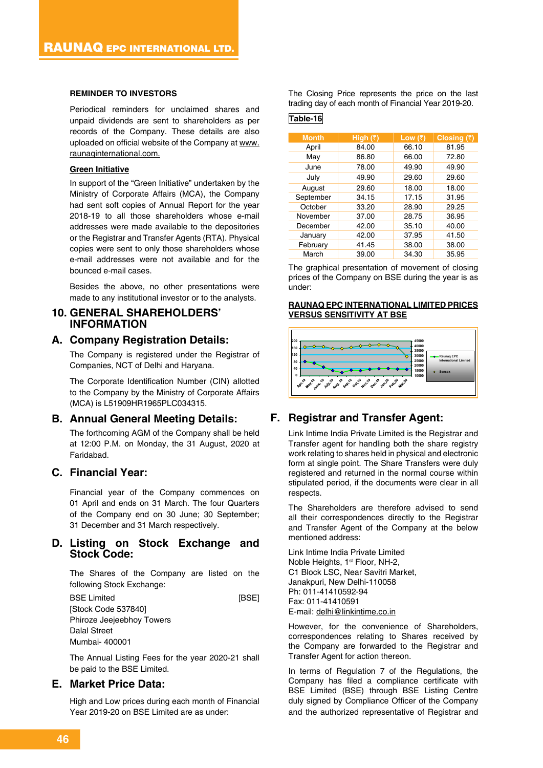#### **REMINDER TO INVESTORS**

Periodical reminders for unclaimed shares and unpaid dividends are sent to shareholders as per records of the Company. These details are also uploaded on official website of the Company at www. raunaqinternational.com.

#### **Green Initiative**

In support of the "Green Initiative" undertaken by the Ministry of Corporate Affairs (MCA), the Company had sent soft copies of Annual Report for the year 2018-19 to all those shareholders whose e-mail addresses were made available to the depositories or the Registrar and Transfer Agents (RTA). Physical copies were sent to only those shareholders whose e-mail addresses were not available and for the bounced e-mail cases.

Besides the above, no other presentations were made to any institutional investor or to the analysts.

## **10. GENERAL SHAREHOLDERS' INFORMATION**

## **A. Company Registration Details:**

The Company is registered under the Registrar of Companies, NCT of Delhi and Haryana.

The Corporate Identification Number (CIN) allotted to the Company by the Ministry of Corporate Affairs (MCA) is L51909HR1965PLC034315.

## **B. Annual General Meeting Details:**

The forthcoming AGM of the Company shall be held at 12:00 P.M. on Monday, the 31 August, 2020 at Faridabad.

## **C. Financial Year:**

Financial year of the Company commences on 01 April and ends on 31 March. The four Quarters of the Company end on 30 June; 30 September; 31 December and 31 March respectively.

# **D. Listing on Stock Exchange and Stock Code:**

The Shares of the Company are listed on the following Stock Exchange:

BSE Limited [BSE] [Stock Code 537840] Phiroze Jeejeebhoy Towers Dalal Street Mumbai- 400001

The Annual Listing Fees for the year 2020-21 shall be paid to the BSE Limited.

# **E. Market Price Data:**

High and Low prices during each month of Financial Year 2019-20 on BSE Limited are as under:

The Closing Price represents the price on the last trading day of each month of Financial Year 2019-20.

# **Table-16**

| <b>Month</b> | High $(\bar{z})$ | Low $(\bar{z})$ | Closing $(\bar{z})$ |
|--------------|------------------|-----------------|---------------------|
| April        | 84.00            | 66.10           | 81.95               |
| May          | 86.80            | 66.00           | 72.80               |
| June         | 78.00            | 49.90           | 49.90               |
| July         | 49.90            | 29.60           | 29.60               |
| August       | 29.60            | 18.00           | 18.00               |
| September    | 34.15            | 17.15           | 31.95               |
| October      | 33.20            | 28.90           | 29.25               |
| November     | 37.00            | 28.75           | 36.95               |
| December     | 42.00            | 35.10           | 40.00               |
| January      | 42.00            | 37.95           | 41.50               |
| February     | 41.45            | 38.00           | 38.00               |
| March        | 39.00            | 34.30           | 35.95               |

The graphical presentation of movement of closing prices of the Company on BSE during the year is as under:

#### **RAUNAQ EPC INTERNATIONAL LIMITED PRICES VERSUS SENSITIVITY AT BSE**



## **F. Registrar and Transfer Agent:**

Link Intime India Private Limited is the Registrar and Transfer agent for handling both the share registry work relating to shares held in physical and electronic form at single point. The Share Transfers were duly registered and returned in the normal course within stipulated period, if the documents were clear in all respects.

The Shareholders are therefore advised to send all their correspondences directly to the Registrar and Transfer Agent of the Company at the below mentioned address:

Link Intime India Private Limited Noble Heights, 1<sup>st</sup> Floor, NH-2, C1 Block LSC, Near Savitri Market, Janakpuri, New Delhi-110058 Ph: 011-41410592-94 Fax: 011-41410591 E-mail: delhi@linkintime.co.in

However, for the convenience of Shareholders, correspondences relating to Shares received by the Company are forwarded to the Registrar and Transfer Agent for action thereon.

In terms of Regulation 7 of the Regulations, the Company has filed a compliance certificate with BSE Limited (BSE) through BSE Listing Centre duly signed by Compliance Officer of the Company and the authorized representative of Registrar and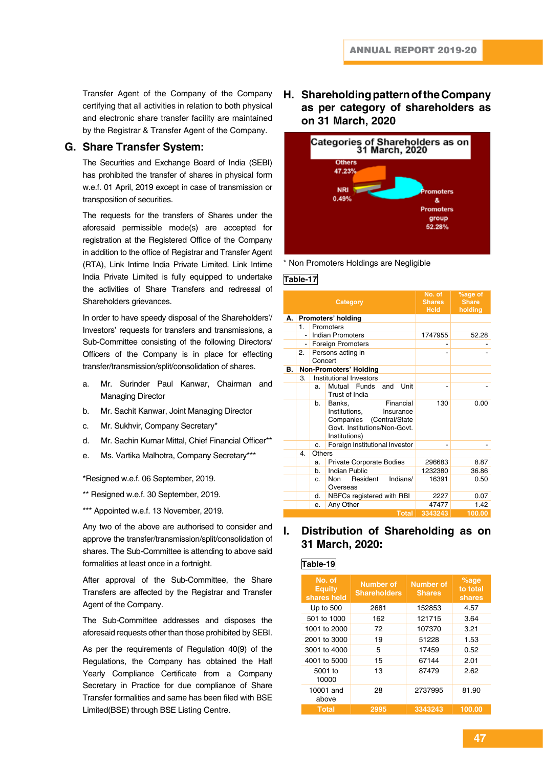Transfer Agent of the Company of the Company certifying that all activities in relation to both physical and electronic share transfer facility are maintained by the Registrar & Transfer Agent of the Company.

# **G. Share Transfer System:**

The Securities and Exchange Board of India (SEBI) has prohibited the transfer of shares in physical form w.e.f. 01 April, 2019 except in case of transmission or transposition of securities.

The requests for the transfers of Shares under the aforesaid permissible mode(s) are accepted for registration at the Registered Office of the Company in addition to the office of Registrar and Transfer Agent (RTA), Link Intime India Private Limited. Link Intime India Private Limited is fully equipped to undertake the activities of Share Transfers and redressal of Shareholders grievances.

In order to have speedy disposal of the Shareholders'/ Investors' requests for transfers and transmissions, a Sub-Committee consisting of the following Directors/ Officers of the Company is in place for effecting transfer/transmission/split/consolidation of shares.

- a. Mr. Surinder Paul Kanwar, Chairman and Managing Director
- b. Mr. Sachit Kanwar, Joint Managing Director
- c. Mr. Sukhvir, Company Secretary\*
- d. Mr. Sachin Kumar Mittal, Chief Financial Officer\*\*
- e. Ms. Vartika Malhotra, Company Secretary\*\*\*

\*Resigned w.e.f. 06 September, 2019.

- \*\* Resigned w.e.f. 30 September, 2019.
- \*\*\* Appointed w.e.f. 13 November, 2019.

Any two of the above are authorised to consider and approve the transfer/transmission/split/consolidation of shares. The Sub-Committee is attending to above said formalities at least once in a fortnight.

After approval of the Sub-Committee, the Share Transfers are affected by the Registrar and Transfer Agent of the Company.

The Sub-Committee addresses and disposes the aforesaid requests other than those prohibited by SEBI.

As per the requirements of Regulation 40(9) of the Regulations, the Company has obtained the Half Yearly Compliance Certificate from a Company Secretary in Practice for due compliance of Share Transfer formalities and same has been filed with BSE Limited(BSE) through BSE Listing Centre.

**H. Shareholding pattern of the Company as per category of shareholders as on 31 March, 2020**



\* Non Promoters Holdings are Negligible

#### **Table-17**

|    |    |         | Category                                                                                                                       | No. of<br><b>Shares</b><br><b>Held</b> | %age of<br><b>Share</b><br>holding |
|----|----|---------|--------------------------------------------------------------------------------------------------------------------------------|----------------------------------------|------------------------------------|
| А. |    |         | Promoters' holding                                                                                                             |                                        |                                    |
|    | 1. |         | Promoters                                                                                                                      |                                        |                                    |
|    |    |         | Indian Promoters                                                                                                               | 1747955                                | 52.28                              |
|    |    |         | <b>Foreign Promoters</b>                                                                                                       |                                        |                                    |
|    | 2. | Concert | Persons acting in                                                                                                              |                                        |                                    |
| В. |    |         | <b>Non-Promoters' Holding</b>                                                                                                  |                                        |                                    |
|    | 3. |         | Institutional Investors                                                                                                        |                                        |                                    |
|    |    | a.      | Mutual Funds<br>and<br>Unit<br>Trust of India                                                                                  |                                        |                                    |
|    |    | b.      | Financial<br>Banks.<br>Institutions.<br>Insurance<br>Companies (Central/State<br>Govt. Institutions/Non-Govt.<br>Institutions) | 130                                    | 0.00                               |
|    |    | C.      | Foreign Institutional Investor                                                                                                 |                                        |                                    |
|    | 4. | Others  |                                                                                                                                |                                        |                                    |
|    |    | a.      | <b>Private Corporate Bodies</b>                                                                                                | 296683                                 | 8.87                               |
|    |    | b.      | Indian Public                                                                                                                  | 1232380                                | 36.86                              |
|    |    | C.      | Indians/<br>Non<br>Resident<br>Overseas                                                                                        | 16391                                  | 0.50                               |
|    |    | d.      | NBFCs registered with RBI                                                                                                      | 2227                                   | 0.07                               |
|    |    | e.      | Any Other                                                                                                                      | 47477                                  | 1.42                               |
|    |    |         | <b>Total</b>                                                                                                                   | 3343243                                | 100.00                             |

# **I. Distribution of Shareholding as on 31 March, 2020:**

# **Table-19**

| No. of<br><b>Equity</b><br>shares held | Number of<br><b>Shareholders</b> | <b>Number of</b><br><b>Shares</b> | $%$ age<br>to total<br>shares |
|----------------------------------------|----------------------------------|-----------------------------------|-------------------------------|
| Up to $500$                            | 2681                             | 152853                            | 4.57                          |
| 501 to 1000                            | 162                              | 121715                            | 3.64                          |
| 1001 to 2000                           | 72                               | 107370                            | 3.21                          |
| 2001 to 3000                           | 19                               | 51228                             | 1.53                          |
| 3001 to 4000                           | 5                                | 17459                             | 0.52                          |
| 4001 to 5000                           | 15                               | 67144                             | 2.01                          |
| 5001 to<br>10000                       | 13                               | 87479                             | 2.62                          |
| 10001 and<br>above                     | 28                               | 2737995                           | 81.90                         |
| <b>Total</b>                           | 2995                             | 3343243                           | 100.00                        |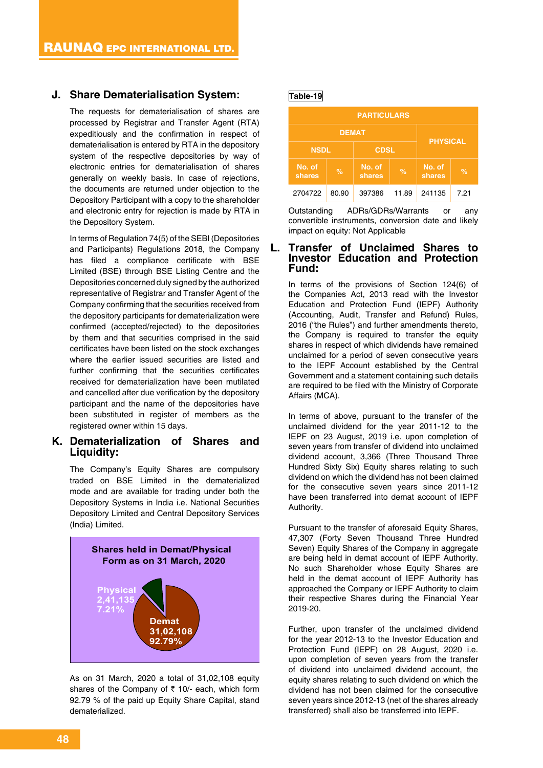# **J. Share Dematerialisation System:**

The requests for dematerialisation of shares are processed by Registrar and Transfer Agent (RTA) expeditiously and the confirmation in respect of dematerialisation is entered by RTA in the depository system of the respective depositories by way of electronic entries for dematerialisation of shares generally on weekly basis. In case of rejections, the documents are returned under objection to the Depository Participant with a copy to the shareholder and electronic entry for rejection is made by RTA in the Depository System.

In terms of Regulation 74(5) of the SEBI (Depositories and Participants) Regulations 2018, the Company has filed a compliance certificate with BSE Limited (BSE) through BSE Listing Centre and the Depositories concerned duly signed by the authorized representative of Registrar and Transfer Agent of the Company confirming that the securities received from the depository participants for dematerialization were confirmed (accepted/rejected) to the depositories by them and that securities comprised in the said certificates have been listed on the stock exchanges where the earlier issued securities are listed and further confirming that the securities certificates received for dematerialization have been mutilated and cancelled after due verification by the depository participant and the name of the depositories have been substituted in register of members as the registered owner within 15 days.

# **K. Dematerialization of Shares and Liquidity:**

The Company's Equity Shares are compulsory traded on BSE Limited in the dematerialized mode and are available for trading under both the Depository Systems in India i.e. National Securities Depository Limited and Central Depository Services (India) Limited.



As on 31 March, 2020 a total of 31,02,108 equity shares of the Company of  $\bar{z}$  10/- each, which form 92.79 % of the paid up Equity Share Capital, stand dematerialized.

# **Table-19**

| <b>PARTICULARS</b> |               |                  |       |                         |      |
|--------------------|---------------|------------------|-------|-------------------------|------|
| <b>DEMAT</b>       |               |                  |       |                         |      |
| <b>NSDL</b>        |               | <b>CDSL</b>      |       | <b>PHYSICAL</b>         |      |
| No. of<br>shares   | $\frac{9}{6}$ | No. of<br>shares | $\%$  | No. of<br><b>shares</b> | $\%$ |
| 2704722            | 80.90         | 397386           | 11.89 | 241135                  | 7.21 |

Outstanding ADRs/GDRs/Warrants or any convertible instruments, conversion date and likely impact on equity: Not Applicable

## **L. Transfer of Unclaimed Shares to Investor Education and Protection Fund:**

In terms of the provisions of Section 124(6) of the Companies Act, 2013 read with the Investor Education and Protection Fund (IEPF) Authority (Accounting, Audit, Transfer and Refund) Rules, 2016 ("the Rules") and further amendments thereto, the Company is required to transfer the equity shares in respect of which dividends have remained unclaimed for a period of seven consecutive years to the IEPF Account established by the Central Government and a statement containing such details are required to be filed with the Ministry of Corporate Affairs (MCA).

In terms of above, pursuant to the transfer of the unclaimed dividend for the year 2011-12 to the IEPF on 23 August, 2019 i.e. upon completion of seven years from transfer of dividend into unclaimed dividend account, 3,366 (Three Thousand Three Hundred Sixty Six) Equity shares relating to such dividend on which the dividend has not been claimed for the consecutive seven years since 2011-12 have been transferred into demat account of IEPF Authority.

Pursuant to the transfer of aforesaid Equity Shares, 47,307 (Forty Seven Thousand Three Hundred Seven) Equity Shares of the Company in aggregate are being held in demat account of IEPF Authority. No such Shareholder whose Equity Shares are held in the demat account of IEPF Authority has approached the Company or IEPF Authority to claim their respective Shares during the Financial Year 2019-20.

Further, upon transfer of the unclaimed dividend for the year 2012-13 to the Investor Education and Protection Fund (IEPF) on 28 August, 2020 i.e. upon completion of seven years from the transfer of dividend into unclaimed dividend account, the equity shares relating to such dividend on which the dividend has not been claimed for the consecutive seven years since 2012-13 (net of the shares already transferred) shall also be transferred into IEPF.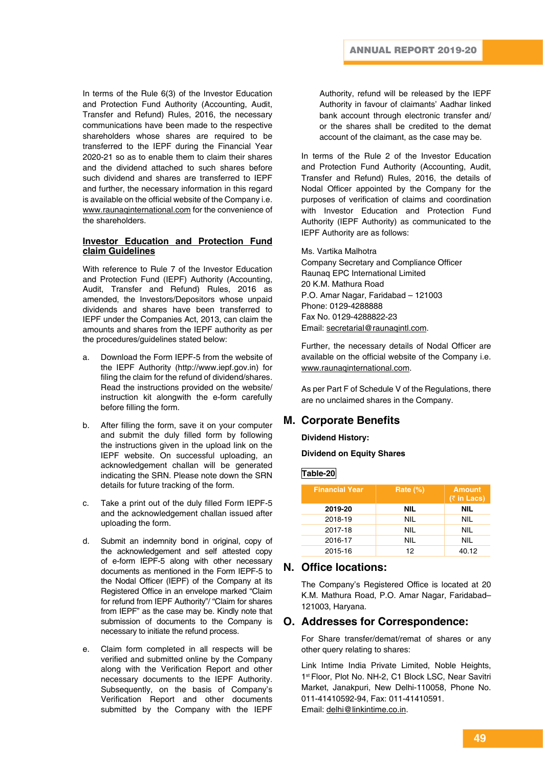In terms of the Rule 6(3) of the Investor Education and Protection Fund Authority (Accounting, Audit, Transfer and Refund) Rules, 2016, the necessary communications have been made to the respective shareholders whose shares are required to be transferred to the IEPF during the Financial Year 2020-21 so as to enable them to claim their shares and the dividend attached to such shares before such dividend and shares are transferred to IEPF and further, the necessary information in this regard is available on the official website of the Company i.e. www.raunaqinternational.com for the convenience of the shareholders.

## **Investor Education and Protection Fund claim Guidelines**

With reference to Rule 7 of the Investor Education and Protection Fund (IEPF) Authority (Accounting, Audit, Transfer and Refund) Rules, 2016 as amended, the Investors/Depositors whose unpaid dividends and shares have been transferred to IEPF under the Companies Act, 2013, can claim the amounts and shares from the IEPF authority as per the procedures/guidelines stated below:

- a. Download the Form IEPF-5 from the website of the IEPF Authority (http://www.iepf.gov.in) for filing the claim for the refund of dividend/shares. Read the instructions provided on the website/ instruction kit alongwith the e-form carefully before filling the form.
- b. After filling the form, save it on your computer and submit the duly filled form by following the instructions given in the upload link on the IEPF website. On successful uploading, an acknowledgement challan will be generated indicating the SRN. Please note down the SRN details for future tracking of the form.
- c. Take a print out of the duly filled Form IEPF-5 and the acknowledgement challan issued after uploading the form.
- d. Submit an indemnity bond in original, copy of the acknowledgement and self attested copy of e-form IEPF-5 along with other necessary documents as mentioned in the Form IEPF-5 to the Nodal Officer (IEPF) of the Company at its Registered Office in an envelope marked "Claim for refund from IEPF Authority"/ "Claim for shares from IEPF" as the case may be. Kindly note that submission of documents to the Company is necessary to initiate the refund process.
- e. Claim form completed in all respects will be verified and submitted online by the Company along with the Verification Report and other necessary documents to the IEPF Authority. Subsequently, on the basis of Company's Verification Report and other documents submitted by the Company with the IEPF

Authority, refund will be released by the IEPF Authority in favour of claimants' Aadhar linked bank account through electronic transfer and/ or the shares shall be credited to the demat account of the claimant, as the case may be.

In terms of the Rule 2 of the Investor Education and Protection Fund Authority (Accounting, Audit, Transfer and Refund) Rules, 2016, the details of Nodal Officer appointed by the Company for the purposes of verification of claims and coordination with Investor Education and Protection Fund Authority (IEPF Authority) as communicated to the IEPF Authority are as follows:

Ms. Vartika Malhotra Company Secretary and Compliance Officer Raunaq EPC International Limited 20 K.M. Mathura Road P.O. Amar Nagar, Faridabad – 121003 Phone: 0129-4288888 Fax No. 0129-4288822-23 Email: secretarial@raunaqintl.com.

Further, the necessary details of Nodal Officer are available on the official website of the Company i.e. www.raunaqinternational.com.

As per Part F of Schedule V of the Regulations, there are no unclaimed shares in the Company.

# **M. Corporate Benefits**

**Dividend History:**

**Dividend on Equity Shares**

**Table-20**

| <b>Financial Year</b> | Rate (%)   | <b>Amount</b><br>$(3 \nvert \cdot \nvert$ Lacs) |
|-----------------------|------------|-------------------------------------------------|
| 2019-20               | <b>NIL</b> | <b>NIL</b>                                      |
| 2018-19               | <b>NIL</b> | <b>NIL</b>                                      |
| 2017-18               | NIL        | <b>NIL</b>                                      |
| 2016-17               | NII        | <b>NIL</b>                                      |
| 2015-16               | 12         | 40.12                                           |

# **N. Office locations:**

The Company's Registered Office is located at 20 K.M. Mathura Road, P.O. Amar Nagar, Faridabad– 121003, Haryana.

# **O. Addresses for Correspondence:**

For Share transfer/demat/remat of shares or any other query relating to shares:

Link Intime India Private Limited, Noble Heights, 1st Floor, Plot No. NH-2, C1 Block LSC, Near Savitri Market, Janakpuri, New Delhi-110058, Phone No. 011-41410592-94, Fax: 011-41410591. Email: delhi@linkintime.co.in.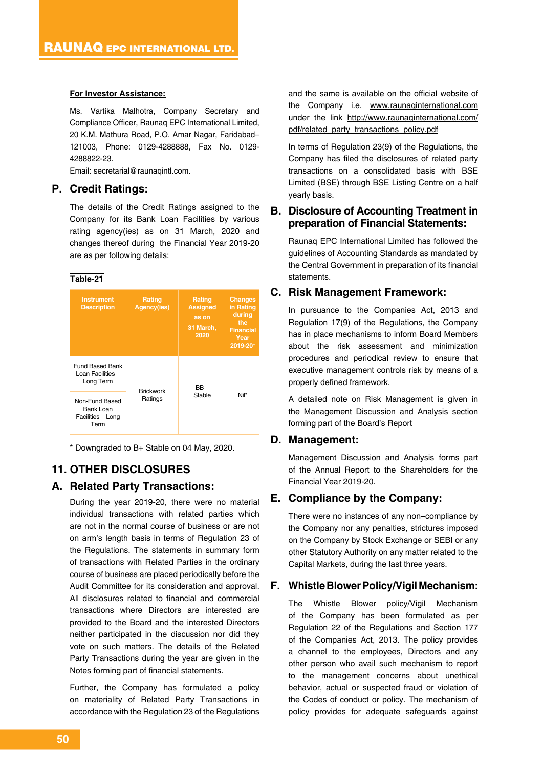#### **For Investor Assistance:**

Ms. Vartika Malhotra, Company Secretary and Compliance Officer, Raunaq EPC International Limited, 20 K.M. Mathura Road, P.O. Amar Nagar, Faridabad– 121003, Phone: 0129-4288888, Fax No. 0129- 4288822-23.

Email: secretarial@raunaqintl.com.

## **P. Credit Ratings:**

The details of the Credit Ratings assigned to the Company for its Bank Loan Facilities by various rating agency(ies) as on 31 March, 2020 and changes thereof during the Financial Year 2019-20 are as per following details:

#### **Table-21**



\* Downgraded to B+ Stable on 04 May, 2020.

# **11. OTHER DISCLOSURES**

# **A. Related Party Transactions:**

During the year 2019-20, there were no material individual transactions with related parties which are not in the normal course of business or are not on arm's length basis in terms of Regulation 23 of the Regulations. The statements in summary form of transactions with Related Parties in the ordinary course of business are placed periodically before the Audit Committee for its consideration and approval. All disclosures related to financial and commercial transactions where Directors are interested are provided to the Board and the interested Directors neither participated in the discussion nor did they vote on such matters. The details of the Related Party Transactions during the year are given in the Notes forming part of financial statements.

Further, the Company has formulated a policy on materiality of Related Party Transactions in accordance with the Regulation 23 of the Regulations and the same is available on the official website of the Company i.e. www.raunaqinternational.com under the link http://www.raunaqinternational.com/ pdf/related\_party\_transactions\_policy.pdf

In terms of Regulation 23(9) of the Regulations, the Company has filed the disclosures of related party transactions on a consolidated basis with BSE Limited (BSE) through BSE Listing Centre on a half yearly basis.

# **B. Disclosure of Accounting Treatment in preparation of Financial Statements:**

Raunaq EPC International Limited has followed the guidelines of Accounting Standards as mandated by the Central Government in preparation of its financial statements.

## **C. Risk Management Framework:**

In pursuance to the Companies Act, 2013 and Regulation 17(9) of the Regulations, the Company has in place mechanisms to inform Board Members about the risk assessment and minimization procedures and periodical review to ensure that executive management controls risk by means of a properly defined framework.

A detailed note on Risk Management is given in the Management Discussion and Analysis section forming part of the Board's Report

#### **D. Management:**

Management Discussion and Analysis forms part of the Annual Report to the Shareholders for the Financial Year 2019-20.

#### **E. Compliance by the Company:**

There were no instances of any non–compliance by the Company nor any penalties, strictures imposed on the Company by Stock Exchange or SEBI or any other Statutory Authority on any matter related to the Capital Markets, during the last three years.

## **F. Whistle Blower Policy/Vigil Mechanism:**

The Whistle Blower policy/Vigil Mechanism of the Company has been formulated as per Regulation 22 of the Regulations and Section 177 of the Companies Act, 2013. The policy provides a channel to the employees, Directors and any other person who avail such mechanism to report to the management concerns about unethical behavior, actual or suspected fraud or violation of the Codes of conduct or policy. The mechanism of policy provides for adequate safeguards against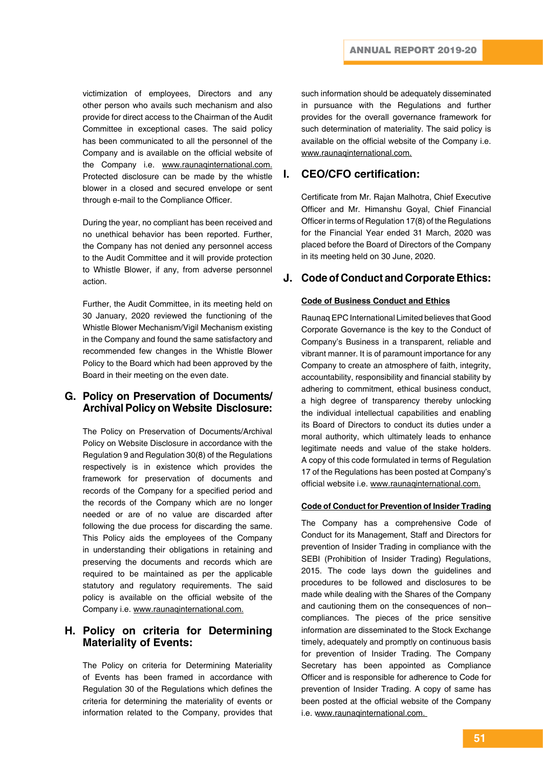victimization of employees, Directors and any other person who avails such mechanism and also provide for direct access to the Chairman of the Audit Committee in exceptional cases. The said policy has been communicated to all the personnel of the Company and is available on the official website of the Company i.e. www.raunaqinternational.com. Protected disclosure can be made by the whistle blower in a closed and secured envelope or sent through e-mail to the Compliance Officer.

During the year, no compliant has been received and no unethical behavior has been reported. Further, the Company has not denied any personnel access to the Audit Committee and it will provide protection to Whistle Blower, if any, from adverse personnel action.

Further, the Audit Committee, in its meeting held on 30 January, 2020 reviewed the functioning of the Whistle Blower Mechanism/Vigil Mechanism existing in the Company and found the same satisfactory and recommended few changes in the Whistle Blower Policy to the Board which had been approved by the Board in their meeting on the even date.

# **G. Policy on Preservation of Documents/ Archival Policy on Website Disclosure:**

The Policy on Preservation of Documents/Archival Policy on Website Disclosure in accordance with the Regulation 9 and Regulation 30(8) of the Regulations respectively is in existence which provides the framework for preservation of documents and records of the Company for a specified period and the records of the Company which are no longer needed or are of no value are discarded after following the due process for discarding the same. This Policy aids the employees of the Company in understanding their obligations in retaining and preserving the documents and records which are required to be maintained as per the applicable statutory and regulatory requirements. The said policy is available on the official website of the Company i.e. www.raunaqinternational.com.

# **H. Policy on criteria for Determining Materiality of Events:**

The Policy on criteria for Determining Materiality of Events has been framed in accordance with Regulation 30 of the Regulations which defines the criteria for determining the materiality of events or information related to the Company, provides that such information should be adequately disseminated in pursuance with the Regulations and further provides for the overall governance framework for such determination of materiality. The said policy is available on the official website of the Company i.e. www.raunaqinternational.com.

# **I. CEO/CFO certification:**

Certificate from Mr. Rajan Malhotra, Chief Executive Officer and Mr. Himanshu Goyal, Chief Financial Officer in terms of Regulation 17(8) of the Regulations for the Financial Year ended 31 March, 2020 was placed before the Board of Directors of the Company in its meeting held on 30 June, 2020.

# **J. Code of Conduct and Corporate Ethics:**

#### **Code of Business Conduct and Ethics**

Raunaq EPC International Limited believes that Good Corporate Governance is the key to the Conduct of Company's Business in a transparent, reliable and vibrant manner. It is of paramount importance for any Company to create an atmosphere of faith, integrity, accountability, responsibility and financial stability by adhering to commitment, ethical business conduct, a high degree of transparency thereby unlocking the individual intellectual capabilities and enabling its Board of Directors to conduct its duties under a moral authority, which ultimately leads to enhance legitimate needs and value of the stake holders. A copy of this code formulated in terms of Regulation 17 of the Regulations has been posted at Company's official website i.e. www.raunaqinternational.com.

#### **Code of Conduct for Prevention of Insider Trading**

The Company has a comprehensive Code of Conduct for its Management, Staff and Directors for prevention of Insider Trading in compliance with the SEBI (Prohibition of Insider Trading) Regulations, 2015. The code lays down the guidelines and procedures to be followed and disclosures to be made while dealing with the Shares of the Company and cautioning them on the consequences of non– compliances. The pieces of the price sensitive information are disseminated to the Stock Exchange timely, adequately and promptly on continuous basis for prevention of Insider Trading. The Company Secretary has been appointed as Compliance Officer and is responsible for adherence to Code for prevention of Insider Trading. A copy of same has been posted at the official website of the Company i.e. www.raunaqinternational.com.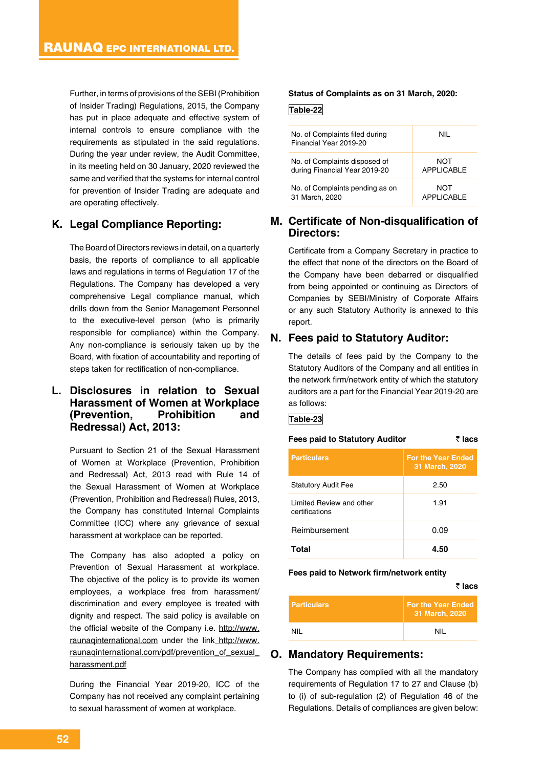Further, in terms of provisions of the SEBI (Prohibition of Insider Trading) Regulations, 2015, the Company has put in place adequate and effective system of internal controls to ensure compliance with the requirements as stipulated in the said regulations. During the year under review, the Audit Committee, in its meeting held on 30 January, 2020 reviewed the same and verified that the systems for internal control for prevention of Insider Trading are adequate and are operating effectively.

# **K. Legal Compliance Reporting:**

The Board of Directors reviews in detail, on a quarterly basis, the reports of compliance to all applicable laws and regulations in terms of Regulation 17 of the Regulations. The Company has developed a very comprehensive Legal compliance manual, which drills down from the Senior Management Personnel to the executive-level person (who is primarily responsible for compliance) within the Company. Any non-compliance is seriously taken up by the Board, with fixation of accountability and reporting of steps taken for rectification of non-compliance.

# **L. Disclosures in relation to Sexual Harassment of Women at Workplace (Prevention, Prohibition and Redressal) Act, 2013:**

Pursuant to Section 21 of the Sexual Harassment of Women at Workplace (Prevention, Prohibition and Redressal) Act, 2013 read with Rule 14 of the Sexual Harassment of Women at Workplace (Prevention, Prohibition and Redressal) Rules, 2013, the Company has constituted Internal Complaints Committee (ICC) where any grievance of sexual harassment at workplace can be reported.

The Company has also adopted a policy on Prevention of Sexual Harassment at workplace. The objective of the policy is to provide its women employees, a workplace free from harassment/ discrimination and every employee is treated with dignity and respect. The said policy is available on the official website of the Company i.e. http://www. raunaqinternational.com under the link http://www. raunaqinternational.com/pdf/prevention\_of\_sexual\_ harassment.pdf

During the Financial Year 2019-20, ICC of the Company has not received any complaint pertaining to sexual harassment of women at workplace.

#### **Status of Complaints as on 31 March, 2020:**

#### **Table-22**

| No. of Complaints filed during<br>Financial Year 2019-20 | NIL               |
|----------------------------------------------------------|-------------------|
| No. of Complaints disposed of                            | NOT               |
| during Financial Year 2019-20                            | <b>APPLICABLE</b> |
| No. of Complaints pending as on                          | NOT               |
| 31 March, 2020                                           | APPI ICABLE       |

# **M. Certificate of Non-disqualification of Directors:**

Certificate from a Company Secretary in practice to the effect that none of the directors on the Board of the Company have been debarred or disqualified from being appointed or continuing as Directors of Companies by SEBI/Ministry of Corporate Affairs or any such Statutory Authority is annexed to this report.

# **N. Fees paid to Statutory Auditor:**

The details of fees paid by the Company to the Statutory Auditors of the Company and all entities in the network firm/network entity of which the statutory auditors are a part for the Financial Year 2019-20 are as follows:

## **Table-23**

| <b>Fees paid to Statutory Auditor</b>       | ₹ lacs                                      |  |
|---------------------------------------------|---------------------------------------------|--|
| <b>Particulars</b>                          | <b>For the Year Ended</b><br>31 March, 2020 |  |
| <b>Statutory Audit Fee</b>                  | 2.50                                        |  |
| I imited Review and other<br>certifications | 1.91                                        |  |
| Reimbursement                               | 0.09                                        |  |
| Total                                       | 4.50                                        |  |

#### **Fees paid to Network firm/network entity**

` **lacs**

| <b>Particulars</b> | <b>For the Year Ended</b><br>31 March, 2020 |  |
|--------------------|---------------------------------------------|--|
| NIL                | NIL                                         |  |

# **O. Mandatory Requirements:**

The Company has complied with all the mandatory requirements of Regulation 17 to 27 and Clause (b) to (i) of sub-regulation (2) of Regulation 46 of the Regulations. Details of compliances are given below: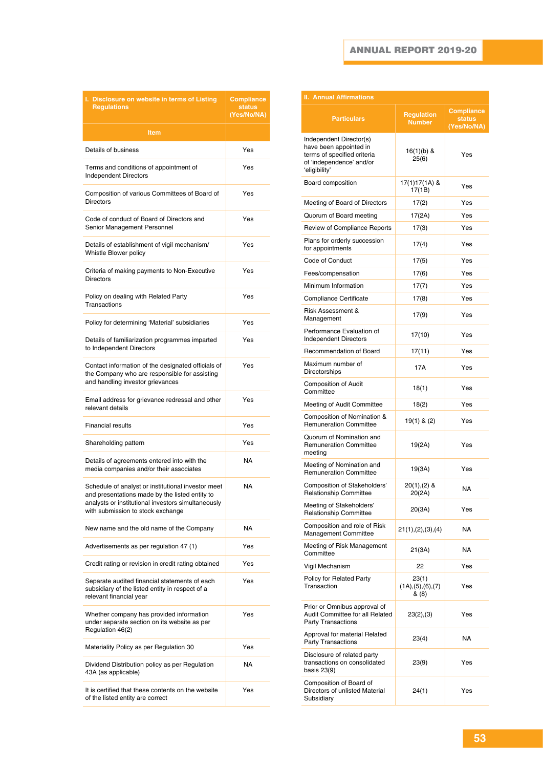| I. Disclosure on website in terms of Listing<br><b>Regulations</b>                                                                                                                              | <b>Compliance</b><br><b>status</b><br>(Yes/No/NA) |
|-------------------------------------------------------------------------------------------------------------------------------------------------------------------------------------------------|---------------------------------------------------|
| <b>Item</b>                                                                                                                                                                                     |                                                   |
| Details of business                                                                                                                                                                             | Yes                                               |
| Terms and conditions of appointment of<br><b>Independent Directors</b>                                                                                                                          | Yes                                               |
| Composition of various Committees of Board of<br><b>Directors</b>                                                                                                                               | Yes                                               |
| Code of conduct of Board of Directors and<br>Senior Management Personnel                                                                                                                        | Yes                                               |
| Details of establishment of vigil mechanism/<br>Whistle Blower policy                                                                                                                           | Yes                                               |
| Criteria of making payments to Non-Executive<br><b>Directors</b>                                                                                                                                | Yes                                               |
| Policy on dealing with Related Party<br>Transactions                                                                                                                                            | Yes                                               |
| Policy for determining 'Material' subsidiaries                                                                                                                                                  | Yes                                               |
| Details of familiarization programmes imparted<br>to Independent Directors                                                                                                                      | Yes                                               |
| Contact information of the designated officials of<br>the Company who are responsible for assisting<br>and handling investor grievances                                                         | Yes                                               |
| Email address for grievance redressal and other<br>relevant details                                                                                                                             | Yes                                               |
| <b>Financial results</b>                                                                                                                                                                        | Yes                                               |
| Shareholding pattern                                                                                                                                                                            | Yes                                               |
| Details of agreements entered into with the<br>media companies and/or their associates                                                                                                          | <b>NA</b>                                         |
| Schedule of analyst or institutional investor meet<br>and presentations made by the listed entity to<br>analysts or institutional investors simultaneously<br>with submission to stock exchange | NA                                                |
| New name and the old name of the Company                                                                                                                                                        | <b>NA</b>                                         |
| Advertisements as per regulation 47 (1)                                                                                                                                                         | Yes                                               |
| Credit rating or revision in credit rating obtained                                                                                                                                             | Yes                                               |
| Separate audited financial statements of each<br>subsidiary of the listed entity in respect of a<br>relevant financial year                                                                     | Yes                                               |
| Whether company has provided information<br>under separate section on its website as per<br>Regulation 46(2)                                                                                    | Yes                                               |
| Materiality Policy as per Regulation 30                                                                                                                                                         | Yes                                               |
| Dividend Distribution policy as per Regulation<br>43A (as applicable)                                                                                                                           | NA                                                |
| It is certified that these contents on the website<br>of the listed entity are correct                                                                                                          | Yes                                               |

| <b>II. Annual Affirmations</b>                                                                                                |                                       |                                                   |  |
|-------------------------------------------------------------------------------------------------------------------------------|---------------------------------------|---------------------------------------------------|--|
| <b>Particulars</b>                                                                                                            | <b>Regulation</b><br><b>Number</b>    | <b>Compliance</b><br><b>status</b><br>(Yes/No/NA) |  |
| Independent Director(s)<br>have been appointed in<br>terms of specified criteria<br>of 'independence' and/or<br>'eligibility' | 16(1)(b) &<br>25(6)                   | Yes                                               |  |
| Board composition                                                                                                             | 17(1)17(1A) &<br>17(1B)               | Yes                                               |  |
| Meeting of Board of Directors                                                                                                 | 17(2)                                 | Yes                                               |  |
| Quorum of Board meeting                                                                                                       | 17(2A)                                | Yes                                               |  |
| <b>Review of Compliance Reports</b>                                                                                           | 17(3)                                 | Yes                                               |  |
| Plans for orderly succession<br>for appointments                                                                              | 17(4)                                 | Yes                                               |  |
| Code of Conduct                                                                                                               | 17(5)                                 | Yes                                               |  |
| Fees/compensation                                                                                                             | 17(6)                                 | Yes                                               |  |
| Minimum Information                                                                                                           | 17(7)                                 | Yes                                               |  |
| <b>Compliance Certificate</b>                                                                                                 | 17(8)                                 | Yes                                               |  |
| Risk Assessment &<br>Management                                                                                               | 17(9)                                 | Yes                                               |  |
| Performance Evaluation of<br><b>Independent Directors</b>                                                                     | 17(10)                                | Yes                                               |  |
| Recommendation of Board                                                                                                       | 17(11)                                | Yes                                               |  |
| Maximum number of<br>Directorships                                                                                            | 17A                                   | Yes                                               |  |
| <b>Composition of Audit</b><br>Committee                                                                                      | 18(1)                                 | Yes                                               |  |
| Meeting of Audit Committee                                                                                                    | 18(2)                                 | Yes                                               |  |
| Composition of Nomination &<br><b>Remuneration Committee</b>                                                                  | $19(1)$ & (2)                         | Yes                                               |  |
| Quorum of Nomination and<br><b>Remuneration Committee</b><br>meeting                                                          | 19(2A)                                | Yes                                               |  |
| Meeting of Nomination and<br><b>Remuneration Committee</b>                                                                    | 19(3A)                                | Yes                                               |  |
| Composition of Stakeholders'<br><b>Relationship Committee</b>                                                                 | $20(1),(2)$ &<br>20(2A)               | NA                                                |  |
| Meeting of Stakeholders'<br><b>Relationship Committee</b>                                                                     | 20(3A)                                | Yes                                               |  |
| Composition and role of Risk<br>Management Committee                                                                          | 21(1), (2), (3), (4)                  | NA                                                |  |
| Meeting of Risk Management<br>Committee                                                                                       | 21(3A)                                | NA                                                |  |
| Vigil Mechanism                                                                                                               | 22                                    | Yes                                               |  |
| Policy for Related Party<br>Transaction                                                                                       | 23(1)<br>(1A), (5), (6), (7)<br>& (8) | Yes                                               |  |
| Prior or Omnibus approval of<br>Audit Committee for all Related<br><b>Party Transactions</b>                                  | 23(2), (3)                            | Yes                                               |  |
| Approval for material Related<br><b>Party Transactions</b>                                                                    | 23(4)                                 | <b>NA</b>                                         |  |
| Disclosure of related party<br>transactions on consolidated<br>basis 23(9)                                                    | 23(9)                                 | Yes                                               |  |
| Composition of Board of<br>Directors of unlisted Material<br>Subsidiary                                                       | 24(1)                                 | Yes                                               |  |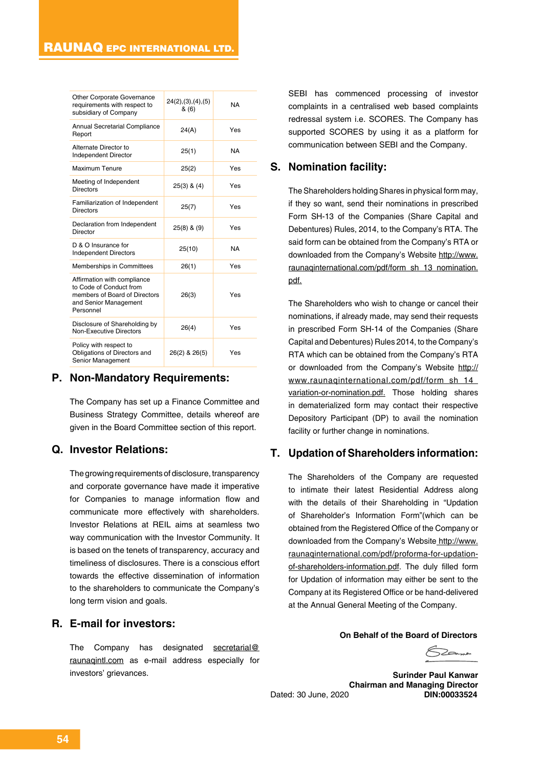| <b>Other Corporate Governance</b><br>requirements with respect to<br>subsidiary of Company                                    | 24(2), (3), (4), (5)<br>& (6) | <b>NA</b> |
|-------------------------------------------------------------------------------------------------------------------------------|-------------------------------|-----------|
| <b>Annual Secretarial Compliance</b><br>Report                                                                                | 24(A)                         | Yes       |
| Alternate Director to<br>Independent Director                                                                                 | 25(1)                         | <b>NA</b> |
| Maximum Tenure                                                                                                                | 25(2)                         | Yes       |
| Meeting of Independent<br><b>Directors</b>                                                                                    | $25(3)$ & $(4)$               | Yes       |
| Familiarization of Independent<br><b>Directors</b>                                                                            | 25(7)                         | Yes       |
| Declaration from Independent<br>Director                                                                                      | $25(8)$ & $(9)$               | Yes       |
| D & O Insurance for<br><b>Independent Directors</b>                                                                           | 25(10)                        | <b>NA</b> |
| Memberships in Committees                                                                                                     | 26(1)                         | Yes       |
| Affirmation with compliance<br>to Code of Conduct from<br>members of Board of Directors<br>and Senior Management<br>Personnel | 26(3)                         | Yes       |
| Disclosure of Shareholding by<br>Non-Executive Directors                                                                      | 26(4)                         | Yes       |
| Policy with respect to<br>Obligations of Directors and<br>Senior Management                                                   | 26(2) & 26(5)                 | Yes       |

# **P. Non-Mandatory Requirements:**

The Company has set up a Finance Committee and Business Strategy Committee, details whereof are given in the Board Committee section of this report.

## **Q. Investor Relations:**

The growing requirements of disclosure, transparency and corporate governance have made it imperative for Companies to manage information flow and communicate more effectively with shareholders. Investor Relations at REIL aims at seamless two way communication with the Investor Community. It is based on the tenets of transparency, accuracy and timeliness of disclosures. There is a conscious effort towards the effective dissemination of information to the shareholders to communicate the Company's long term vision and goals.

# **R. E-mail for investors:**

The Company has designated secretarial@ raunaqintl.com as e-mail address especially for investors' grievances.

SEBI has commenced processing of investor complaints in a centralised web based complaints redressal system i.e. SCORES. The Company has supported SCORES by using it as a platform for communication between SEBI and the Company.

## **S. Nomination facility:**

The Shareholders holding Shares in physical form may, if they so want, send their nominations in prescribed Form SH-13 of the Companies (Share Capital and Debentures) Rules, 2014, to the Company's RTA. The said form can be obtained from the Company's RTA or downloaded from the Company's Website http://www. raunaqinternational.com/pdf/form\_sh\_13\_nomination. pdf.

The Shareholders who wish to change or cancel their nominations, if already made, may send their requests in prescribed Form SH-14 of the Companies (Share Capital and Debentures) Rules 2014, to the Company's RTA which can be obtained from the Company's RTA or downloaded from the Company's Website http:// www.raunaqinternational.com/pdf/form\_sh\_14\_ variation-or-nomination.pdf. Those holding shares in dematerialized form may contact their respective Depository Participant (DP) to avail the nomination facility or further change in nominations.

## **T. Updation of Shareholders information:**

The Shareholders of the Company are requested to intimate their latest Residential Address along with the details of their Shareholding in "Updation of Shareholder's Information Form"(which can be obtained from the Registered Office of the Company or downloaded from the Company's Website http://www. raunaqinternational.com/pdf/proforma-for-updationof-shareholders-information.pdf. The duly filled form for Updation of information may either be sent to the Company at its Registered Office or be hand-delivered at the Annual General Meeting of the Company.

## **On Behalf of the Board of Directors**

 $\widehat{\sum}$ Ana

**Surinder Paul Kanwar Chairman and Managing Director** Dated: 30 June, 2020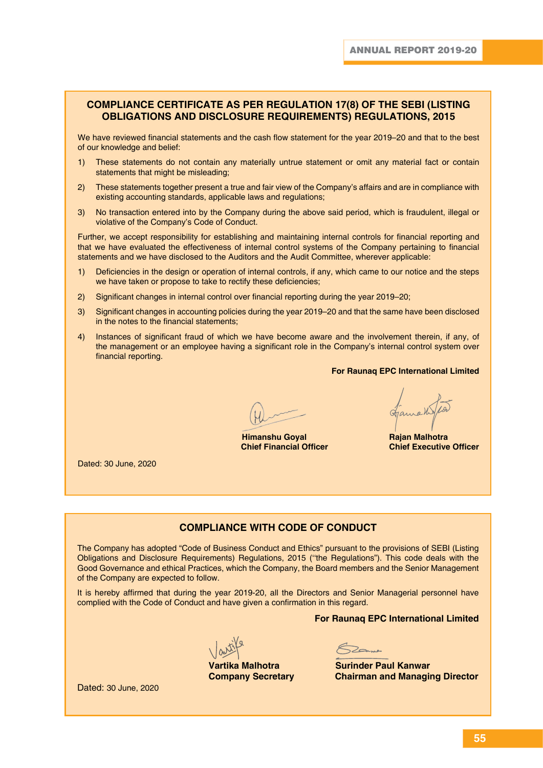# **COMPLIANCE CERTIFICATE AS PER REGULATION 17(8) OF THE SEBI (LISTING OBLIGATIONS AND DISCLOSURE REQUIREMENTS) REGULATIONS, 2015**

We have reviewed financial statements and the cash flow statement for the year 2019–20 and that to the best of our knowledge and belief:

- 1) These statements do not contain any materially untrue statement or omit any material fact or contain statements that might be misleading;
- 2) These statements together present a true and fair view of the Company's affairs and are in compliance with existing accounting standards, applicable laws and regulations;
- 3) No transaction entered into by the Company during the above said period, which is fraudulent, illegal or violative of the Company's Code of Conduct.

Further, we accept responsibility for establishing and maintaining internal controls for financial reporting and that we have evaluated the effectiveness of internal control systems of the Company pertaining to financial statements and we have disclosed to the Auditors and the Audit Committee, wherever applicable:

- 1) Deficiencies in the design or operation of internal controls, if any, which came to our notice and the steps we have taken or propose to take to rectify these deficiencies;
- 2) Significant changes in internal control over financial reporting during the year 2019–20;
- 3) Significant changes in accounting policies during the year 2019–20 and that the same have been disclosed in the notes to the financial statements;
- 4) Instances of significant fraud of which we have become aware and the involvement therein, if any, of the management or an employee having a significant role in the Company's internal control system over financial reporting.

#### **For Raunaq EPC International Limited**

**Himanshu Goyal Allian Malhotra Chief Financial Officer Rajan Malhotra Chief Executive** 

**Chief Executive Officer** 

Dated: 30 June, 2020

# **COMPLIANCE WITH CODE OF CONDUCT**

The Company has adopted "Code of Business Conduct and Ethics" pursuant to the provisions of SEBI (Listing Obligations and Disclosure Requirements) Regulations, 2015 (''the Regulations"). This code deals with the Good Governance and ethical Practices, which the Company, the Board members and the Senior Management of the Company are expected to follow.

It is hereby affirmed that during the year 2019-20, all the Directors and Senior Managerial personnel have complied with the Code of Conduct and have given a confirmation in this regard.

**For Raunaq EPC International Limited**

<u>Dama</u>

 **Vartika Malhotra Surinder Paul Kanwar Company Secretary Chairman and Managing Director**

Dated: 30 June, 2020